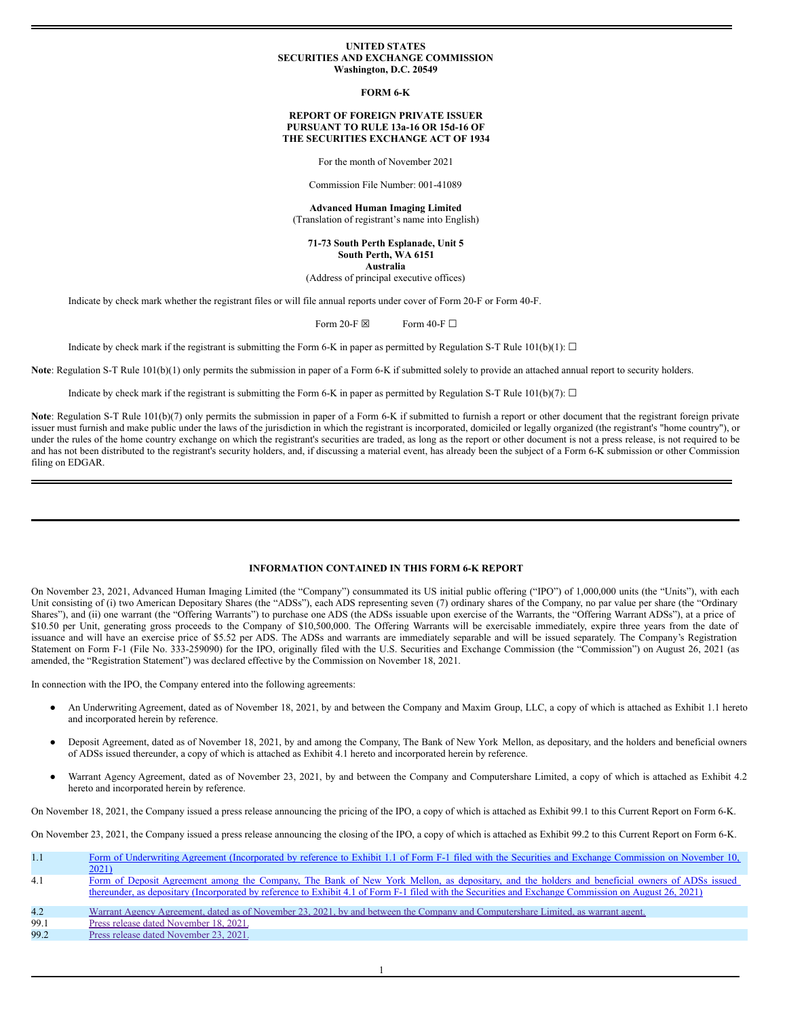### **UNITED STATES SECURITIES AND EXCHANGE COMMISSION Washington, D.C. 20549**

**FORM 6-K**

## **REPORT OF FOREIGN PRIVATE ISSUER PURSUANT TO RULE 13a-16 OR 15d-16 OF THE SECURITIES EXCHANGE ACT OF 1934**

For the month of November 2021

Commission File Number: 001-41089

**Advanced Human Imaging Limited** (Translation of registrant's name into English)

**71-73 South Perth Esplanade, Unit 5 South Perth, WA 6151 Australia**

(Address of principal executive offices)

Indicate by check mark whether the registrant files or will file annual reports under cover of Form 20-F or Form 40-F.

Form 20-F  $\boxtimes$  Form 40-F  $\Box$ 

Indicate by check mark if the registrant is submitting the Form 6-K in paper as permitted by Regulation S-T Rule 101(b)(1):  $\Box$ 

**Note**: Regulation S-T Rule 101(b)(1) only permits the submission in paper of a Form 6-K if submitted solely to provide an attached annual report to security holders.

Indicate by check mark if the registrant is submitting the Form 6-K in paper as permitted by Regulation S-T Rule 101(b)(7):  $\Box$ 

Note: Regulation S-T Rule 101(b)(7) only permits the submission in paper of a Form 6-K if submitted to furnish a report or other document that the registrant foreign private issuer must furnish and make public under the laws of the jurisdiction in which the registrant is incorporated, domiciled or legally organized (the registrant's "home country"), or under the rules of the home country exchange on which the registrant's securities are traded, as long as the report or other document is not a press release, is not required to be and has not been distributed to the registrant's security holders, and, if discussing a material event, has already been the subject of a Form 6-K submission or other Commission filing on EDGAR.

# **INFORMATION CONTAINED IN THIS FORM 6-K REPORT**

On November 23, 2021, Advanced Human Imaging Limited (the "Company") consummated its US initial public offering ("IPO") of 1,000,000 units (the "Units"), with each Unit consisting of (i) two American Depositary Shares (the "ADSs"), each ADS representing seven (7) ordinary shares of the Company, no par value per share (the "Ordinary Shares"), and (ii) one warrant (the "Offering Warrants") to purchase one ADS (the ADSs issuable upon exercise of the Warrants, the "Offering Warrant ADSs"), at a price of \$10.50 per Unit, generating gross proceeds to the Company of \$10,500,000. The Offering Warrants will be exercisable immediately, expire three years from the date of issuance and will have an exercise price of \$5.52 per ADS. The ADSs and warrants are immediately separable and will be issued separately. The Company's Registration Statement on Form F-1 (File No. 333-259090) for the IPO, originally filed with the U.S. Securities and Exchange Commission (the "Commission") on August 26, 2021 (as amended, the "Registration Statement") was declared effective by the Commission on November 18, 2021.

In connection with the IPO, the Company entered into the following agreements:

- An Underwriting Agreement, dated as of November 18, 2021, by and between the Company and Maxim Group, LLC, a copy of which is attached as Exhibit 1.1 hereto and incorporated herein by reference.
- Deposit Agreement, dated as of November 18, 2021, by and among the Company, The Bank of New York Mellon, as depositary, and the holders and beneficial owners of ADSs issued thereunder, a copy of which is attached as Exhibit 4.1 hereto and incorporated herein by reference.
- Warrant Agency Agreement, dated as of November 23, 2021, by and between the Company and Computershare Limited, a copy of which is attached as Exhibit 4.2 hereto and incorporated herein by reference.

On November 18, 2021, the Company issued a press release announcing the pricing of the IPO, a copy of which is attached as Exhibit 99.1 to this Current Report on Form 6-K.

On November 23, 2021, the Company issued a press release announcing the closing of the IPO, a copy of which is attached as Exhibit 99.2 to this Current Report on Form 6-K.

| 1.1  | Form of Underwriting Agreement (Incorporated by reference to Exhibit 1.1 of Form F-1 filed with the Securities and Exchange Commission on November 10,<br>2021)                                                                                                                                        |
|------|--------------------------------------------------------------------------------------------------------------------------------------------------------------------------------------------------------------------------------------------------------------------------------------------------------|
| 4.1  | Form of Deposit Agreement among the Company, The Bank of New York Mellon, as depositary, and the holders and beneficial owners of ADSs issued<br>thereunder, as depositary (Incorporated by reference to Exhibit 4.1 of Form F-1 filed with the Securities and Exchange Commission on August 26, 2021) |
| 4.2  | Warrant Agency Agreement, dated as of November 23, 2021, by and between the Company and Computershare Limited, as warrant agent.                                                                                                                                                                       |
| 99.1 | Press release dated November 18, 2021.                                                                                                                                                                                                                                                                 |
| 99.2 | Press release dated November 23, 2021.                                                                                                                                                                                                                                                                 |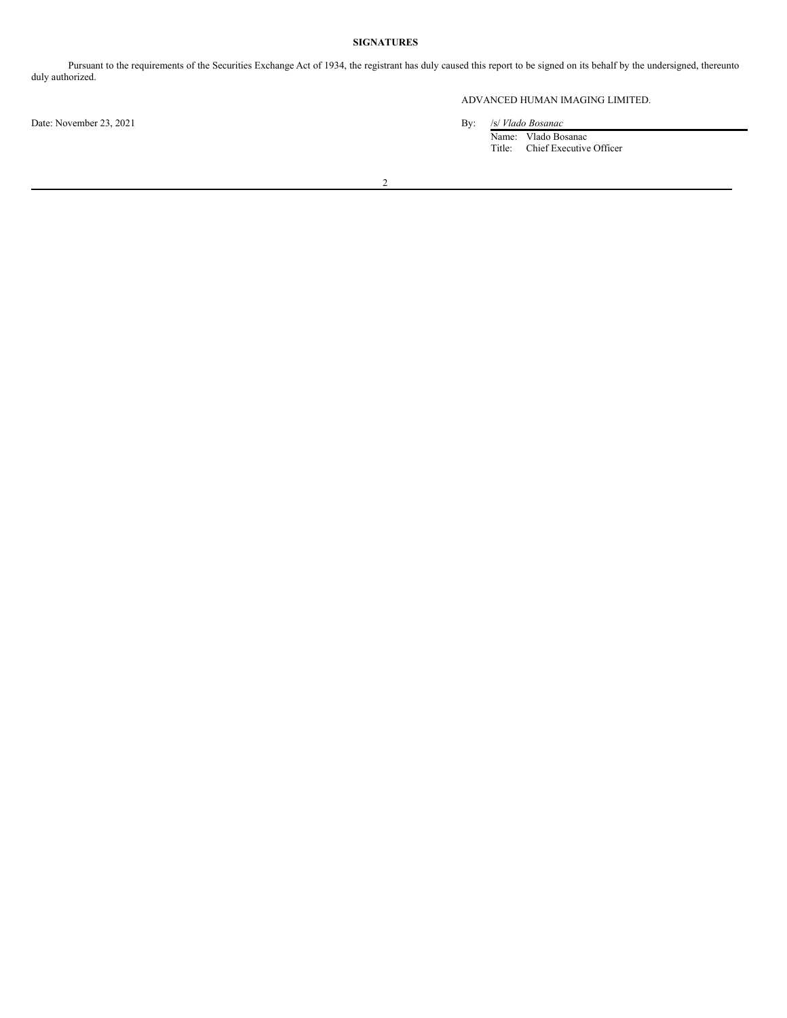# **SIGNATURES**

Pursuant to the requirements of the Securities Exchange Act of 1934, the registrant has duly caused this report to be signed on its behalf by the undersigned, thereunto duly authorized.

Date: November 23, 2021 By:

# ADVANCED HUMAN IMAGING LIMITED.

Name: Vlado Bosanac Title: Chief Executive Officer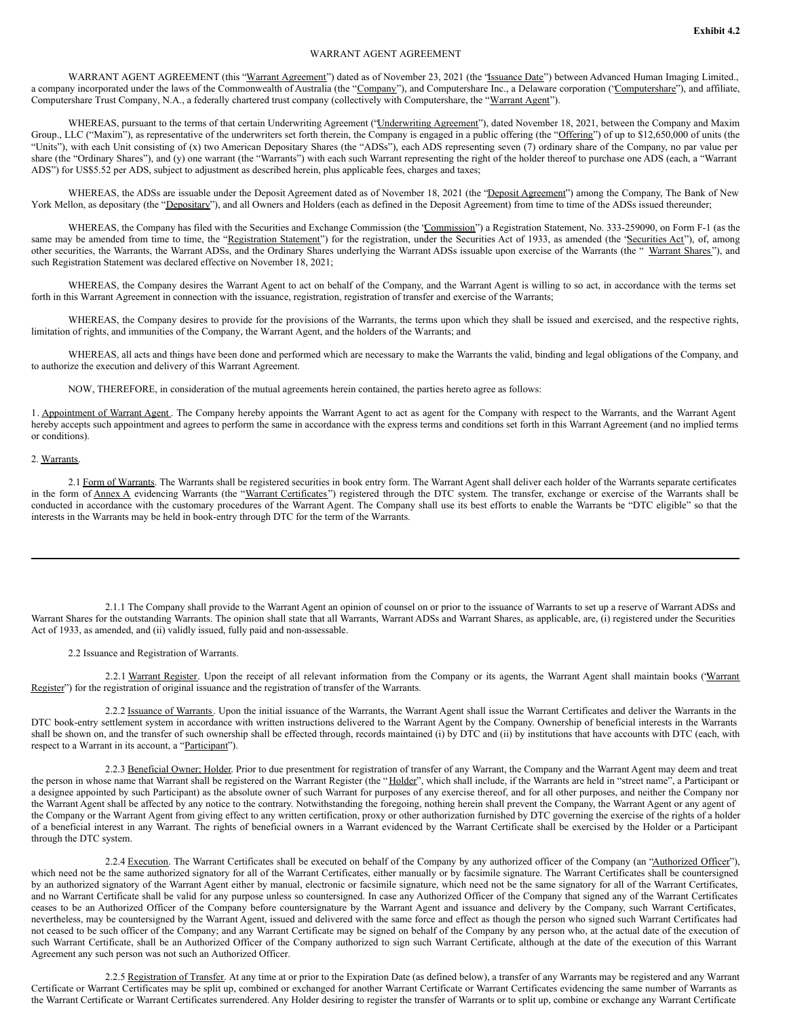# WARRANT AGENT AGREEMENT

WARRANT AGENT AGREEMENT (this "Warrant Agreement") dated as of November 23, 2021 (the "Issuance Date") between Advanced Human Imaging Limited., a company incorporated under the laws of the Commonwealth of Australia (the "Company"), and Computershare Inc., a Delaware corporation ('Computershare''), and affiliate, Computershare Trust Company, N.A., a federally chartered trust company (collectively with Computershare, the "Warrant Agent").

WHEREAS, pursuant to the terms of that certain Underwriting Agreement ("Underwriting Agreement"), dated November 18, 2021, between the Company and Maxim Group., LLC ("Maxim"), as representative of the underwriters set forth therein, the Company is engaged in a public offering (the "Offering") of up to \$12,650,000 of units (the "Units"), with each Unit consisting of (x) two American Depositary Shares (the "ADSs"), each ADS representing seven (7) ordinary share of the Company, no par value per share (the "Ordinary Shares"), and (y) one warrant (the "Warrants") with each such Warrant representing the right of the holder thereof to purchase one ADS (each, a "Warrant ADS") for US\$5.52 per ADS, subject to adjustment as described herein, plus applicable fees, charges and taxes;

WHEREAS, the ADSs are issuable under the Deposit Agreement dated as of November 18, 2021 (the "Deposit Agreement") among the Company, The Bank of New York Mellon, as depositary (the "Depositary"), and all Owners and Holders (each as defined in the Deposit Agreement) from time to time of the ADSs issued thereunder;

WHEREAS, the Company has filed with the Securities and Exchange Commission (the 'Commission') a Registration Statement, No. 333-259090, on Form F-1 (as the same may be amended from time to time, the "Registration Statement") for the registration, under the Securities Act of 1933, as amended (the 'Securities Act'), of, among other securities, the Warrants, the Warrant ADSs, and the Ordinary Shares underlying the Warrant ADSs issuable upon exercise of the Warrants (the "Warrant Shares"), and such Registration Statement was declared effective on November 18, 2021;

WHEREAS, the Company desires the Warrant Agent to act on behalf of the Company, and the Warrant Agent is willing to so act, in accordance with the terms set forth in this Warrant Agreement in connection with the issuance, registration, registration of transfer and exercise of the Warrants;

WHEREAS, the Company desires to provide for the provisions of the Warrants, the terms upon which they shall be issued and exercised, and the respective rights, limitation of rights, and immunities of the Company, the Warrant Agent, and the holders of the Warrants; and

WHEREAS, all acts and things have been done and performed which are necessary to make the Warrants the valid, binding and legal obligations of the Company, and to authorize the execution and delivery of this Warrant Agreement.

NOW, THEREFORE, in consideration of the mutual agreements herein contained, the parties hereto agree as follows:

1. Appointment of Warrant Agent. The Company hereby appoints the Warrant Agent to act as agent for the Company with respect to the Warrants, and the Warrant Agent hereby accepts such appointment and agrees to perform the same in accordance with the express terms and conditions set forth in this Warrant Agreement (and no implied terms or conditions).

# 2. Warrants.

2.1 Form of Warrants. The Warrants shall be registered securities in book entry form. The Warrant Agent shall deliver each holder of the Warrants separate certificates in the form of Annex A evidencing Warrants (the "Warrant Certificates") registered through the DTC system. The transfer, exchange or exercise of the Warrants shall be conducted in accordance with the customary procedures of the Warrant Agent. The Company shall use its best efforts to enable the Warrants be "DTC eligible" so that the interests in the Warrants may be held in book-entry through DTC for the term of the Warrants.

2.1.1 The Company shall provide to the Warrant Agent an opinion of counsel on or prior to the issuance of Warrants to set up a reserve of Warrant ADSs and Warrant Shares for the outstanding Warrants. The opinion shall state that all Warrants, Warrant ADSs and Warrant Shares, as applicable, are, (i) registered under the Securities Act of 1933, as amended, and (ii) validly issued, fully paid and non-assessable.

2.2 Issuance and Registration of Warrants.

2.2.1 Warrant Register. Upon the receipt of all relevant information from the Company or its agents, the Warrant Agent shall maintain books ('Warrant Register") for the registration of original issuance and the registration of transfer of the Warrants.

2.2.2 Issuance of Warrants. Upon the initial issuance of the Warrants, the Warrant Agent shall issue the Warrant Certificates and deliver the Warrants in the DTC book-entry settlement system in accordance with written instructions delivered to the Warrant Agent by the Company. Ownership of beneficial interests in the Warrants shall be shown on, and the transfer of such ownership shall be effected through, records maintained (i) by DTC and (ii) by institutions that have accounts with DTC (each, with respect to a Warrant in its account, a "Participant").

2.2.3 Beneficial Owner; Holder. Prior to due presentment for registration of transfer of any Warrant, the Company and the Warrant Agent may deem and treat the person in whose name that Warrant shall be registered on the Warrant Register (the "Holder", which shall include, if the Warrants are held in "street name", a Participant or a designee appointed by such Participant) as the absolute owner of such Warrant for purposes of any exercise thereof, and for all other purposes, and neither the Company nor the Warrant Agent shall be affected by any notice to the contrary. Notwithstanding the foregoing, nothing herein shall prevent the Company, the Warrant Agent or any agent of the Company or the Warrant Agent from giving effect to any written certification, proxy or other authorization furnished by DTC governing the exercise of the rights of a holder of a beneficial interest in any Warrant. The rights of beneficial owners in a Warrant evidenced by the Warrant Certificate shall be exercised by the Holder or a Participant through the DTC system.

2.2.4 Execution. The Warrant Certificates shall be executed on behalf of the Company by any authorized officer of the Company (an "Authorized Officer"), which need not be the same authorized signatory for all of the Warrant Certificates, either manually or by facsimile signature. The Warrant Certificates shall be countersigned by an authorized signatory of the Warrant Agent either by manual, electronic or facsimile signature, which need not be the same signatory for all of the Warrant Certificates, and no Warrant Certificate shall be valid for any purpose unless so countersigned. In case any Authorized Officer of the Company that signed any of the Warrant Certificates ceases to be an Authorized Officer of the Company before countersignature by the Warrant Agent and issuance and delivery by the Company, such Warrant Certificates, nevertheless, may be countersigned by the Warrant Agent, issued and delivered with the same force and effect as though the person who signed such Warrant Certificates had not ceased to be such officer of the Company; and any Warrant Certificate may be signed on behalf of the Company by any person who, at the actual date of the execution of such Warrant Certificate, shall be an Authorized Officer of the Company authorized to sign such Warrant Certificate, although at the date of the execution of this Warrant Agreement any such person was not such an Authorized Officer.

2.2.5 Registration of Transfer. At any time at or prior to the Expiration Date (as defined below), a transfer of any Warrants may be registered and any Warrant Certificate or Warrant Certificates may be split up, combined or exchanged for another Warrant Certificate or Warrant Certificates evidencing the same number of Warrants as the Warrant Certificate or Warrant Certificates surrendered. Any Holder desiring to register the transfer of Warrants or to split up, combine or exchange any Warrant Certificate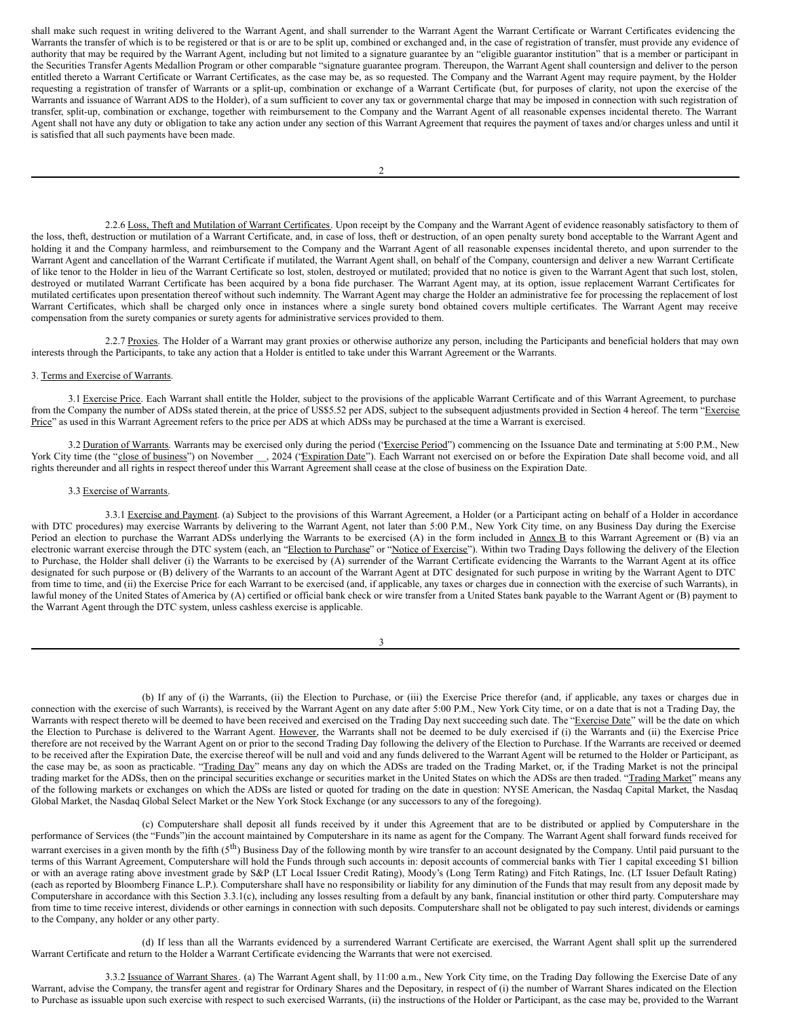shall make such request in writing delivered to the Warrant Agent, and shall surrender to the Warrant Agent the Warrant Certificate or Warrant Certificates evidencing the Warrants the transfer of which is to be registered or that is or are to be split up, combined or exchanged and, in the case of registration of transfer, must provide any evidence of authority that may be required by the Warrant Agent, including but not limited to a signature guarantee by an "eligible guarantor institution" that is a member or participant in the Securities Transfer Agents Medallion Program or other comparable "signature guarantee program. Thereupon, the Warrant Agent shall countersign and deliver to the person entitled thereto a Warrant Certificate or Warrant Certificates, as the case may be, as so requested. The Company and the Warrant Agent may require payment, by the Holder requesting a registration of transfer of Warrants or a split-up, combination or exchange of a Warrant Certificate (but, for purposes of clarity, not upon the exercise of the Warrants and issuance of Warrant ADS to the Holder), of a sum sufficient to cover any tax or governmental charge that may be imposed in connection with such registration of transfer, split-up, combination or exchange, together with reimbursement to the Company and the Warrant Agent of all reasonable expenses incidental thereto. The Warrant Agent shall not have any duty or obligation to take any action under any section of this Warrant Agreement that requires the payment of taxes and/or charges unless and until it is satisfied that all such payments have been made.

2.2.6 Loss, Theft and Mutilation of Warrant Certificates. Upon receipt by the Company and the Warrant Agent of evidence reasonably satisfactory to them of the loss, theft, destruction or mutilation of a Warrant Certificate, and, in case of loss, theft or destruction, of an open penalty surety bond acceptable to the Warrant Agent and holding it and the Company harmless, and reimbursement to the Company and the Warrant Agent of all reasonable expenses incidental thereto, and upon surrender to the Warrant Agent and cancellation of the Warrant Certificate if mutilated, the Warrant Agent shall, on behalf of the Company, countersign and deliver a new Warrant Certificate of like tenor to the Holder in lieu of the Warrant Certificate so lost, stolen, destroyed or mutilated; provided that no notice is given to the Warrant Agent that such lost, stolen, destroyed or mutilated Warrant Certificate has been acquired by a bona fide purchaser. The Warrant Agent may, at its option, issue replacement Warrant Certificates for mutilated certificates upon presentation thereof without such indemnity. The Warrant Agent may charge the Holder an administrative fee for processing the replacement of lost Warrant Certificates, which shall be charged only once in instances where a single surety bond obtained covers multiple certificates. The Warrant Agent may receive compensation from the surety companies or surety agents for administrative services provided to them.

2.2.7 Proxies. The Holder of a Warrant may grant proxies or otherwise authorize any person, including the Participants and beneficial holders that may own interests through the Participants, to take any action that a Holder is entitled to take under this Warrant Agreement or the Warrants.

## 3. Terms and Exercise of Warrants.

3.1 Exercise Price. Each Warrant shall entitle the Holder, subject to the provisions of the applicable Warrant Certificate and of this Warrant Agreement, to purchase from the Company the number of ADSs stated therein, at the price of US\$5.52 per ADS, subject to the subsequent adjustments provided in Section 4 hereof. The term "Exercise Price" as used in this Warrant Agreement refers to the price per ADS at which ADSs may be purchased at the time a Warrant is exercised.

3.2 Duration of Warrants. Warrants may be exercised only during the period ('Exercise Period') commencing on the Issuance Date and terminating at 5:00 P.M., New York City time (the "close of business") on November \_\_, 2024 ("Expiration Date"). Each Warrant not exercised on or before the Expiration Date shall become void, and all rights thereunder and all rights in respect thereof under this Warrant Agreement shall cease at the close of business on the Expiration Date.

#### 3.3 Exercise of Warrants.

3.3.1 Exercise and Payment. (a) Subject to the provisions of this Warrant Agreement, a Holder (or a Participant acting on behalf of a Holder in accordance with DTC procedures) may exercise Warrants by delivering to the Warrant Agent, not later than 5:00 P.M., New York City time, on any Business Day during the Exercise Period an election to purchase the Warrant ADSs underlying the Warrants to be exercised (A) in the form included in Annex B to this Warrant Agreement or (B) via an electronic warrant exercise through the DTC system (each, an "Election to Purchase" or "Notice of Exercise"). Within two Trading Days following the delivery of the Election to Purchase, the Holder shall deliver (i) the Warrants to be exercised by (A) surrender of the Warrant Certificate evidencing the Warrants to the Warrant Agent at its office designated for such purpose or (B) delivery of the Warrants to an account of the Warrant Agent at DTC designated for such purpose in writing by the Warrant Agent to DTC from time to time, and (ii) the Exercise Price for each Warrant to be exercised (and, if applicable, any taxes or charges due in connection with the exercise of such Warrants), in lawful money of the United States of America by (A) certified or official bank check or wire transfer from a United States bank payable to the Warrant Agent or (B) payment to the Warrant Agent through the DTC system, unless cashless exercise is applicable.

| I<br>I<br>×<br>٧ |  |
|------------------|--|

(b) If any of (i) the Warrants, (ii) the Election to Purchase, or (iii) the Exercise Price therefor (and, if applicable, any taxes or charges due in connection with the exercise of such Warrants), is received by the Warrant Agent on any date after 5:00 P.M., New York City time, or on a date that is not a Trading Day, the Warrants with respect thereto will be deemed to have been received and exercised on the Trading Day next succeeding such date. The "Exercise Date" will be the date on which the Election to Purchase is delivered to the Warrant Agent. However, the Warrants shall not be deemed to be duly exercised if (i) the Warrants and (ii) the Exercise Price therefore are not received by the Warrant Agent on or prior to the second Trading Day following the delivery of the Election to Purchase. If the Warrants are received or deemed to be received after the Expiration Date, the exercise thereof will be null and void and any funds delivered to the Warrant Agent will be returned to the Holder or Participant, as the case may be, as soon as practicable. "Trading Day" means any day on which the ADSs are traded on the Trading Market, or, if the Trading Market is not the principal trading market for the ADSs, then on the principal securities exchange or securities market in the United States on which the ADSs are then traded. "Trading Market" means any of the following markets or exchanges on which the ADSs are listed or quoted for trading on the date in question: NYSE American, the Nasdaq Capital Market, the Nasdaq Global Market, the Nasdaq Global Select Market or the New York Stock Exchange (or any successors to any of the foregoing).

(c) Computershare shall deposit all funds received by it under this Agreement that are to be distributed or applied by Computershare in the performance of Services (the "Funds")in the account maintained by Computershare in its name as agent for the Company. The Warrant Agent shall forward funds received for warrant exercises in a given month by the fifth  $(5<sup>th</sup>)$  Business Day of the following month by wire transfer to an account designated by the Company. Until paid pursuant to the terms of this Warrant Agreement, Computershare will hold the Funds through such accounts in: deposit accounts of commercial banks with Tier 1 capital exceeding \$1 billion or with an average rating above investment grade by S&P (LT Local Issuer Credit Rating), Moody's (Long Term Rating) and Fitch Ratings, Inc. (LT Issuer Default Rating) (each as reported by Bloomberg Finance L.P.). Computershare shall have no responsibility or liability for any diminution of the Funds that may result from any deposit made by Computershare in accordance with this Section 3.3.1(c), including any losses resulting from a default by any bank, financial institution or other third party. Computershare may from time to time receive interest, dividends or other earnings in connection with such deposits. Computershare shall not be obligated to pay such interest, dividends or earnings to the Company, any holder or any other party.

(d) If less than all the Warrants evidenced by a surrendered Warrant Certificate are exercised, the Warrant Agent shall split up the surrendered Warrant Certificate and return to the Holder a Warrant Certificate evidencing the Warrants that were not exercised.

3.3.2 Issuance of Warrant Shares. (a) The Warrant Agent shall, by 11:00 a.m., New York City time, on the Trading Day following the Exercise Date of any Warrant, advise the Company, the transfer agent and registrar for Ordinary Shares and the Depositary, in respect of (i) the number of Warrant Shares indicated on the Election to Purchase as issuable upon such exercise with respect to such exercised Warrants, (ii) the instructions of the Holder or Participant, as the case may be, provided to the Warrant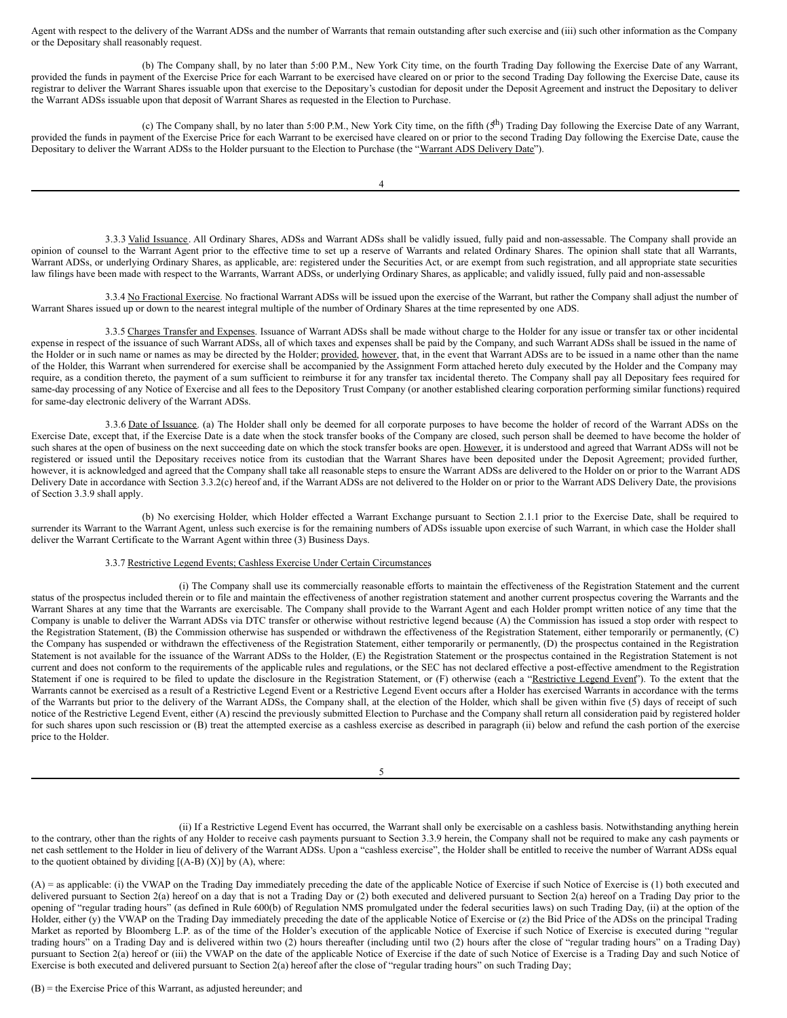Agent with respect to the delivery of the Warrant ADSs and the number of Warrants that remain outstanding after such exercise and (iii) such other information as the Company or the Depositary shall reasonably request.

(b) The Company shall, by no later than 5:00 P.M., New York City time, on the fourth Trading Day following the Exercise Date of any Warrant, provided the funds in payment of the Exercise Price for each Warrant to be exercised have cleared on or prior to the second Trading Day following the Exercise Date, cause its registrar to deliver the Warrant Shares issuable upon that exercise to the Depositary's custodian for deposit under the Deposit Agreement and instruct the Depositary to deliver the Warrant ADSs issuable upon that deposit of Warrant Shares as requested in the Election to Purchase.

(c) The Company shall, by no later than 5:00 P.M., New York City time, on the fifth  $(5<sup>th</sup>)$  Trading Day following the Exercise Date of any Warrant, provided the funds in payment of the Exercise Price for each Warrant to be exercised have cleared on or prior to the second Trading Day following the Exercise Date, cause the Depositary to deliver the Warrant ADSs to the Holder pursuant to the Election to Purchase (the "Warrant ADS Delivery Date").

3.3.3 Valid Issuance. All Ordinary Shares, ADSs and Warrant ADSs shall be validly issued, fully paid and non-assessable. The Company shall provide an opinion of counsel to the Warrant Agent prior to the effective time to set up a reserve of Warrants and related Ordinary Shares. The opinion shall state that all Warrants, Warrant ADSs, or underlying Ordinary Shares, as applicable, are: registered under the Securities Act, or are exempt from such registration, and all appropriate state securities law filings have been made with respect to the Warrants, Warrant ADSs, or underlying Ordinary Shares, as applicable; and validly issued, fully paid and non-assessable

3.3.4 No Fractional Exercise. No fractional Warrant ADSs will be issued upon the exercise of the Warrant, but rather the Company shall adjust the number of Warrant Shares issued up or down to the nearest integral multiple of the number of Ordinary Shares at the time represented by one ADS.

3.3.5 Charges Transfer and Expenses. Issuance of Warrant ADSs shall be made without charge to the Holder for any issue or transfer tax or other incidental expense in respect of the issuance of such Warrant ADSs, all of which taxes and expenses shall be paid by the Company, and such Warrant ADSs shall be issued in the name of the Holder or in such name or names as may be directed by the Holder; provided, however, that, in the event that Warrant ADSs are to be issued in a name other than the name of the Holder, this Warrant when surrendered for exercise shall be accompanied by the Assignment Form attached hereto duly executed by the Holder and the Company may require, as a condition thereto, the payment of a sum sufficient to reimburse it for any transfer tax incidental thereto. The Company shall pay all Depositary fees required for same-day processing of any Notice of Exercise and all fees to the Depository Trust Company (or another established clearing corporation performing similar functions) required for same-day electronic delivery of the Warrant ADSs.

3.3.6 Date of Issuance. (a) The Holder shall only be deemed for all corporate purposes to have become the holder of record of the Warrant ADSs on the Exercise Date, except that, if the Exercise Date is a date when the stock transfer books of the Company are closed, such person shall be deemed to have become the holder of such shares at the open of business on the next succeeding date on which the stock transfer books are open. However, it is understood and agreed that Warrant ADSs will not be registered or issued until the Depositary receives notice from its custodian that the Warrant Shares have been deposited under the Deposit Agreement; provided further, however, it is acknowledged and agreed that the Company shall take all reasonable steps to ensure the Warrant ADSs are delivered to the Holder on or prior to the Warrant ADS Delivery Date in accordance with Section 3.3.2(c) hereof and, if the Warrant ADSs are not delivered to the Holder on or prior to the Warrant ADS Delivery Date, the provisions of Section 3.3.9 shall apply.

(b) No exercising Holder, which Holder effected a Warrant Exchange pursuant to Section 2.1.1 prior to the Exercise Date, shall be required to surrender its Warrant to the Warrant Agent, unless such exercise is for the remaining numbers of ADSs issuable upon exercise of such Warrant, in which case the Holder shall deliver the Warrant Certificate to the Warrant Agent within three (3) Business Days.

### 3.3.7 Restrictive Legend Events; Cashless Exercise Under Certain Circumstances.

(i) The Company shall use its commercially reasonable efforts to maintain the effectiveness of the Registration Statement and the current status of the prospectus included therein or to file and maintain the effectiveness of another registration statement and another current prospectus covering the Warrants and the Warrant Shares at any time that the Warrants are exercisable. The Company shall provide to the Warrant Agent and each Holder prompt written notice of any time that the Company is unable to deliver the Warrant ADSs via DTC transfer or otherwise without restrictive legend because (A) the Commission has issued a stop order with respect to the Registration Statement, (B) the Commission otherwise has suspended or withdrawn the effectiveness of the Registration Statement, either temporarily or permanently, (C) the Company has suspended or withdrawn the effectiveness of the Registration Statement, either temporarily or permanently, (D) the prospectus contained in the Registration Statement is not available for the issuance of the Warrant ADSs to the Holder, (E) the Registration Statement or the prospectus contained in the Registration Statement is not current and does not conform to the requirements of the applicable rules and regulations, or the SEC has not declared effective a post-effective amendment to the Registration Statement if one is required to be filed to update the disclosure in the Registration Statement, or (F) otherwise (each a "Restrictive Legend Event"). To the extent that the Warrants cannot be exercised as a result of a Restrictive Legend Event or a Restrictive Legend Event occurs after a Holder has exercised Warrants in accordance with the terms of the Warrants but prior to the delivery of the Warrant ADSs, the Company shall, at the election of the Holder, which shall be given within five (5) days of receipt of such notice of the Restrictive Legend Event, either (A) rescind the previously submitted Election to Purchase and the Company shall return all consideration paid by registered holder for such shares upon such rescission or (B) treat the attempted exercise as a cashless exercise as described in paragraph (ii) below and refund the cash portion of the exercise price to the Holder.

5

(ii) If a Restrictive Legend Event has occurred, the Warrant shall only be exercisable on a cashless basis. Notwithstanding anything herein to the contrary, other than the rights of any Holder to receive cash payments pursuant to Section 3.3.9 herein, the Company shall not be required to make any cash payments or net cash settlement to the Holder in lieu of delivery of the Warrant ADSs. Upon a "cashless exercise", the Holder shall be entitled to receive the number of Warrant ADSs equal to the quotient obtained by dividing  $[(A-B) (X)]$  by  $(A)$ , where:

(A) = as applicable: (i) the VWAP on the Trading Day immediately preceding the date of the applicable Notice of Exercise if such Notice of Exercise is (1) both executed and delivered pursuant to Section 2(a) hereof on a day that is not a Trading Day or (2) both executed and delivered pursuant to Section 2(a) hereof on a Trading Day prior to the opening of "regular trading hours" (as defined in Rule 600(b) of Regulation NMS promulgated under the federal securities laws) on such Trading Day, (ii) at the option of the Holder, either (y) the VWAP on the Trading Day immediately preceding the date of the applicable Notice of Exercise or (z) the Bid Price of the ADSs on the principal Trading Market as reported by Bloomberg L.P. as of the time of the Holder's execution of the applicable Notice of Exercise if such Notice of Exercise is executed during "regular trading hours" on a Trading Day and is delivered within two (2) hours thereafter (including until two (2) hours after the close of "regular trading hours" on a Trading Day) pursuant to Section 2(a) hereof or (iii) the VWAP on the date of the applicable Notice of Exercise if the date of such Notice of Exercise is a Trading Day and such Notice of Exercise is both executed and delivered pursuant to Section 2(a) hereof after the close of "regular trading hours" on such Trading Day;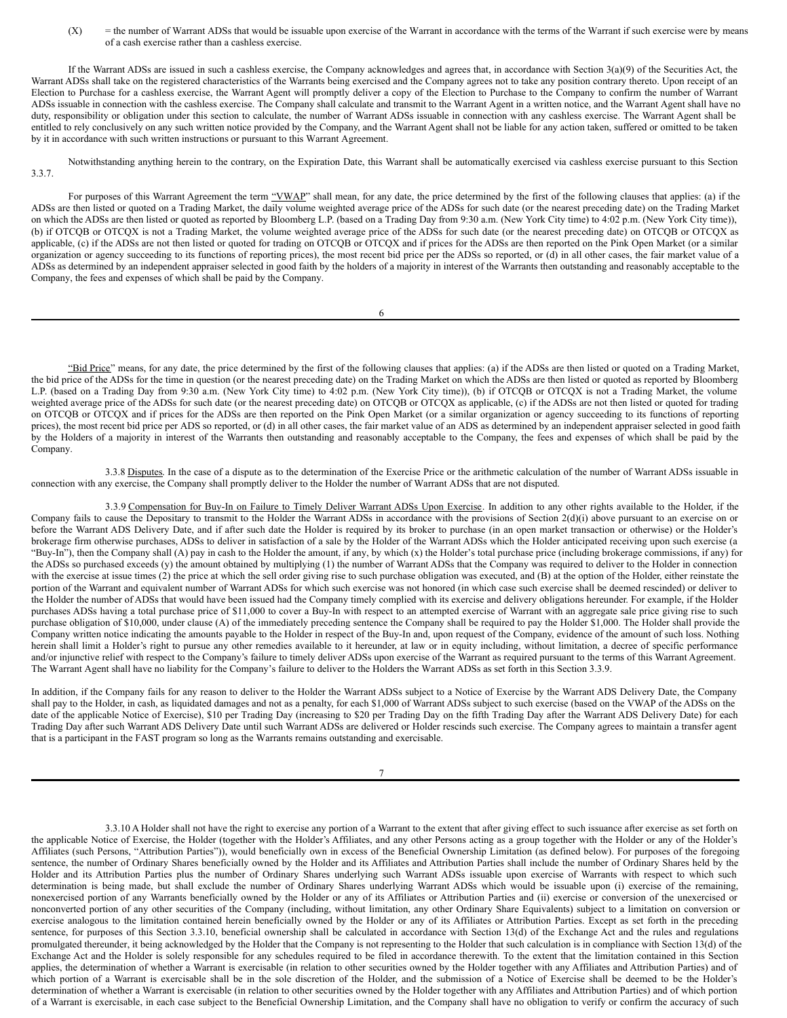(X) = the number of Warrant ADSs that would be issuable upon exercise of the Warrant in accordance with the terms of the Warrant if such exercise were by means of a cash exercise rather than a cashless exercise.

If the Warrant ADSs are issued in such a cashless exercise, the Company acknowledges and agrees that, in accordance with Section 3(a)(9) of the Securities Act, the Warrant ADSs shall take on the registered characteristics of the Warrants being exercised and the Company agrees not to take any position contrary thereto. Upon receipt of an Election to Purchase for a cashless exercise, the Warrant Agent will promptly deliver a copy of the Election to Purchase to the Company to confirm the number of Warrant ADSs issuable in connection with the cashless exercise. The Company shall calculate and transmit to the Warrant Agent in a written notice, and the Warrant Agent shall have no duty, responsibility or obligation under this section to calculate, the number of Warrant ADSs issuable in connection with any cashless exercise. The Warrant Agent shall be entitled to rely conclusively on any such written notice provided by the Company, and the Warrant Agent shall not be liable for any action taken, suffered or omitted to be taken by it in accordance with such written instructions or pursuant to this Warrant Agreement.

Notwithstanding anything herein to the contrary, on the Expiration Date, this Warrant shall be automatically exercised via cashless exercise pursuant to this Section 3.3.7.

For purposes of this Warrant Agreement the term "VWAP" shall mean, for any date, the price determined by the first of the following clauses that applies: (a) if the ADSs are then listed or quoted on a Trading Market, the daily volume weighted average price of the ADSs for such date (or the nearest preceding date) on the Trading Market on which the ADSs are then listed or quoted as reported by Bloomberg L.P. (based on a Trading Day from 9:30 a.m. (New York City time) to 4:02 p.m. (New York City time)), (b) if OTCQB or OTCQX is not a Trading Market, the volume weighted average price of the ADSs for such date (or the nearest preceding date) on OTCQB or OTCQX as applicable, (c) if the ADSs are not then listed or quoted for trading on OTCQB or OTCQX and if prices for the ADSs are then reported on the Pink Open Market (or a similar organization or agency succeeding to its functions of reporting prices), the most recent bid price per the ADSs so reported, or (d) in all other cases, the fair market value of a ADSs as determined by an independent appraiser selected in good faith by the holders of a majority in interest of the Warrants then outstanding and reasonably acceptable to the Company, the fees and expenses of which shall be paid by the Company.

6

"Bid Price" means, for any date, the price determined by the first of the following clauses that applies: (a) if the ADSs are then listed or quoted on a Trading Market, the bid price of the ADSs for the time in question (or the nearest preceding date) on the Trading Market on which the ADSs are then listed or quoted as reported by Bloomberg L.P. (based on a Trading Day from 9:30 a.m. (New York City time) to 4:02 p.m. (New York City time)), (b) if OTCQB or OTCQX is not a Trading Market, the volume weighted average price of the ADSs for such date (or the nearest preceding date) on OTCQB or OTCQX as applicable, (c) if the ADSs are not then listed or quoted for trading on OTCQB or OTCQX and if prices for the ADSs are then reported on the Pink Open Market (or a similar organization or agency succeeding to its functions of reporting prices), the most recent bid price per ADS so reported, or (d) in all other cases, the fair market value of an ADS as determined by an independent appraiser selected in good faith by the Holders of a majority in interest of the Warrants then outstanding and reasonably acceptable to the Company, the fees and expenses of which shall be paid by the Company.

3.3.8 Disputes. In the case of a dispute as to the determination of the Exercise Price or the arithmetic calculation of the number of Warrant ADSs issuable in connection with any exercise, the Company shall promptly deliver to the Holder the number of Warrant ADSs that are not disputed.

3.3.9 Compensation for Buy-In on Failure to Timely Deliver Warrant ADSs Upon Exercise. In addition to any other rights available to the Holder, if the Company fails to cause the Depositary to transmit to the Holder the Warrant ADSs in accordance with the provisions of Section 2(d)(i) above pursuant to an exercise on or before the Warrant ADS Delivery Date, and if after such date the Holder is required by its broker to purchase (in an open market transaction or otherwise) or the Holder's brokerage firm otherwise purchases, ADSs to deliver in satisfaction of a sale by the Holder of the Warrant ADSs which the Holder anticipated receiving upon such exercise (a "Buy-In"), then the Company shall (A) pay in cash to the Holder the amount, if any, by which (x) the Holder's total purchase price (including brokerage commissions, if any) for the ADSs so purchased exceeds (y) the amount obtained by multiplying (1) the number of Warrant ADSs that the Company was required to deliver to the Holder in connection with the exercise at issue times (2) the price at which the sell order giving rise to such purchase obligation was executed, and (B) at the option of the Holder, either reinstate the portion of the Warrant and equivalent number of Warrant ADSs for which such exercise was not honored (in which case such exercise shall be deemed rescinded) or deliver to the Holder the number of ADSs that would have been issued had the Company timely complied with its exercise and delivery obligations hereunder. For example, if the Holder purchases ADSs having a total purchase price of \$11,000 to cover a Buy-In with respect to an attempted exercise of Warrant with an aggregate sale price giving rise to such purchase obligation of \$10,000, under clause (A) of the immediately preceding sentence the Company shall be required to pay the Holder \$1,000. The Holder shall provide the Company written notice indicating the amounts payable to the Holder in respect of the Buy-In and, upon request of the Company, evidence of the amount of such loss. Nothing herein shall limit a Holder's right to pursue any other remedies available to it hereunder, at law or in equity including, without limitation, a decree of specific performance and/or injunctive relief with respect to the Company's failure to timely deliver ADSs upon exercise of the Warrant as required pursuant to the terms of this Warrant Agreement. The Warrant Agent shall have no liability for the Company's failure to deliver to the Holders the Warrant ADSs as set forth in this Section 3.3.9.

In addition, if the Company fails for any reason to deliver to the Holder the Warrant ADSs subject to a Notice of Exercise by the Warrant ADS Delivery Date, the Company shall pay to the Holder, in cash, as liquidated damages and not as a penalty, for each \$1,000 of Warrant ADSs subject to such exercise (based on the VWAP of the ADSs on the date of the applicable Notice of Exercise), \$10 per Trading Day (increasing to \$20 per Trading Day on the fifth Trading Day after the Warrant ADS Delivery Date) for each Trading Day after such Warrant ADS Delivery Date until such Warrant ADSs are delivered or Holder rescinds such exercise. The Company agrees to maintain a transfer agent that is a participant in the FAST program so long as the Warrants remains outstanding and exercisable.

7

3.3.10 A Holder shall not have the right to exercise any portion of a Warrant to the extent that after giving effect to such issuance after exercise as set forth on the applicable Notice of Exercise, the Holder (together with the Holder's Affiliates, and any other Persons acting as a group together with the Holder or any of the Holder's Affiliates (such Persons, "Attribution Parties")), would beneficially own in excess of the Beneficial Ownership Limitation (as defined below). For purposes of the foregoing sentence, the number of Ordinary Shares beneficially owned by the Holder and its Affiliates and Attribution Parties shall include the number of Ordinary Shares held by the Holder and its Attribution Parties plus the number of Ordinary Shares underlying such Warrant ADSs issuable upon exercise of Warrants with respect to which such determination is being made, but shall exclude the number of Ordinary Shares underlying Warrant ADSs which would be issuable upon (i) exercise of the remaining, nonexercised portion of any Warrants beneficially owned by the Holder or any of its Affiliates or Attribution Parties and (ii) exercise or conversion of the unexercised or nonconverted portion of any other securities of the Company (including, without limitation, any other Ordinary Share Equivalents) subject to a limitation on conversion or exercise analogous to the limitation contained herein beneficially owned by the Holder or any of its Affiliates or Attribution Parties. Except as set forth in the preceding sentence, for purposes of this Section 3.3.10, beneficial ownership shall be calculated in accordance with Section 13(d) of the Exchange Act and the rules and regulations promulgated thereunder, it being acknowledged by the Holder that the Company is not representing to the Holder that such calculation is in compliance with Section 13(d) of the Exchange Act and the Holder is solely responsible for any schedules required to be filed in accordance therewith. To the extent that the limitation contained in this Section applies, the determination of whether a Warrant is exercisable (in relation to other securities owned by the Holder together with any Affiliates and Attribution Parties) and of which portion of a Warrant is exercisable shall be in the sole discretion of the Holder, and the submission of a Notice of Exercise shall be deemed to be the Holder's determination of whether a Warrant is exercisable (in relation to other securities owned by the Holder together with any Affiliates and Attribution Parties) and of which portion of a Warrant is exercisable, in each case subject to the Beneficial Ownership Limitation, and the Company shall have no obligation to verify or confirm the accuracy of such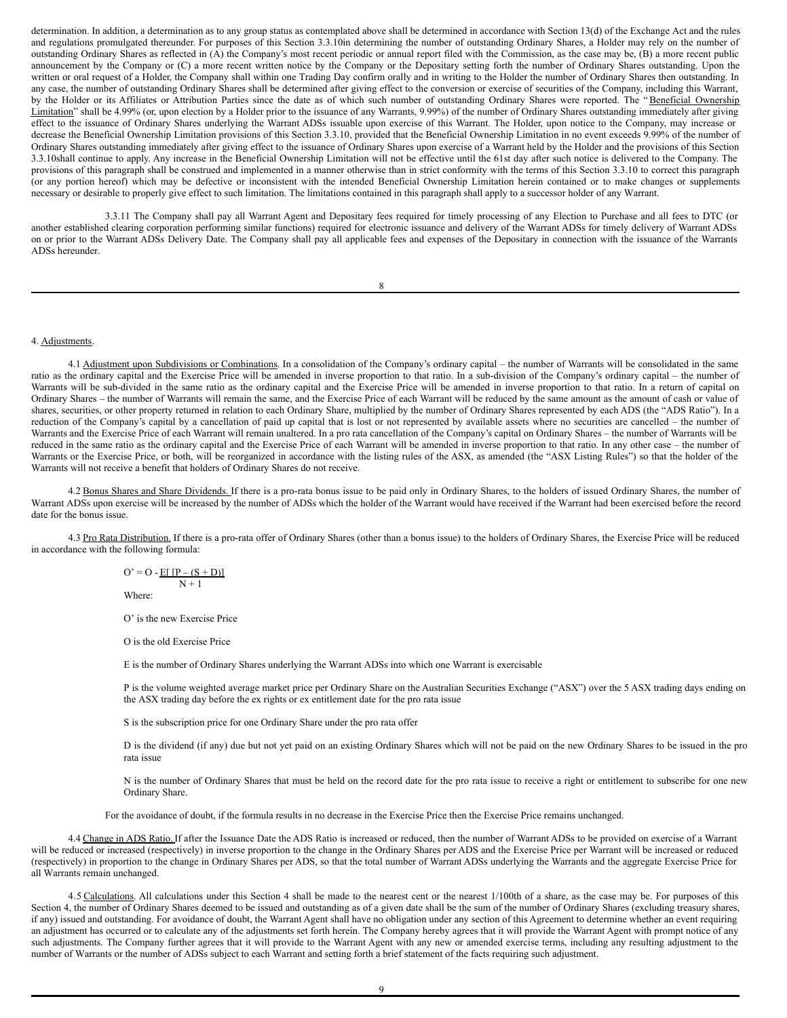determination. In addition, a determination as to any group status as contemplated above shall be determined in accordance with Section 13(d) of the Exchange Act and the rules and regulations promulgated thereunder. For purposes of this Section 3.3.10in determining the number of outstanding Ordinary Shares, a Holder may rely on the number of outstanding Ordinary Shares as reflected in (A) the Company's most recent periodic or annual report filed with the Commission, as the case may be, (B) a more recent public announcement by the Company or (C) a more recent written notice by the Company or the Depositary setting forth the number of Ordinary Shares outstanding. Upon the written or oral request of a Holder, the Company shall within one Trading Day confirm orally and in writing to the Holder the number of Ordinary Shares then outstanding. In any case, the number of outstanding Ordinary Shares shall be determined after giving effect to the conversion or exercise of securities of the Company, including this Warrant, by the Holder or its Affiliates or Attribution Parties since the date as of which such number of outstanding Ordinary Shares were reported. The "Beneficial Ownership Limitation" shall be 4.99% (or, upon election by a Holder prior to the issuance of any Warrants, 9.99%) of the number of Ordinary Shares outstanding immediately after giving effect to the issuance of Ordinary Shares underlying the Warrant ADSs issuable upon exercise of this Warrant. The Holder, upon notice to the Company, may increase or decrease the Beneficial Ownership Limitation provisions of this Section 3.3.10, provided that the Beneficial Ownership Limitation in no event exceeds 9.99% of the number of Ordinary Shares outstanding immediately after giving effect to the issuance of Ordinary Shares upon exercise of a Warrant held by the Holder and the provisions of this Section 3.3.10shall continue to apply. Any increase in the Beneficial Ownership Limitation will not be effective until the 61st day after such notice is delivered to the Company. The provisions of this paragraph shall be construed and implemented in a manner otherwise than in strict conformity with the terms of this Section 3.3.10 to correct this paragraph (or any portion hereof) which may be defective or inconsistent with the intended Beneficial Ownership Limitation herein contained or to make changes or supplements necessary or desirable to properly give effect to such limitation. The limitations contained in this paragraph shall apply to a successor holder of any Warrant.

3.3.11 The Company shall pay all Warrant Agent and Depositary fees required for timely processing of any Election to Purchase and all fees to DTC (or another established clearing corporation performing similar functions) required for electronic issuance and delivery of the Warrant ADSs for timely delivery of Warrant ADSs on or prior to the Warrant ADSs Delivery Date. The Company shall pay all applicable fees and expenses of the Depositary in connection with the issuance of the Warrants ADSs hereunder.

8

#### 4. Adjustments.

4.1 Adjustment upon Subdivisions or Combinations. In a consolidation of the Company's ordinary capital – the number of Warrants will be consolidated in the same ratio as the ordinary capital and the Exercise Price will be amended in inverse proportion to that ratio. In a sub-division of the Company's ordinary capital – the number of Warrants will be sub-divided in the same ratio as the ordinary capital and the Exercise Price will be amended in inverse proportion to that ratio. In a return of capital on Ordinary Shares – the number of Warrants will remain the same, and the Exercise Price of each Warrant will be reduced by the same amount as the amount of cash or value of shares, securities, or other property returned in relation to each Ordinary Share, multiplied by the number of Ordinary Shares represented by each ADS (the "ADS Ratio"). In a reduction of the Company's capital by a cancellation of paid up capital that is lost or not represented by available assets where no securities are cancelled – the number of Warrants and the Exercise Price of each Warrant will remain unaltered. In a pro rata cancellation of the Company's capital on Ordinary Shares – the number of Warrants will be reduced in the same ratio as the ordinary capital and the Exercise Price of each Warrant will be amended in inverse proportion to that ratio. In any other case – the number of Warrants or the Exercise Price, or both, will be reorganized in accordance with the listing rules of the ASX, as amended (the "ASX Listing Rules") so that the holder of the Warrants will not receive a benefit that holders of Ordinary Shares do not receive.

4.2 Bonus Shares and Share Dividends. If there is a pro-rata bonus issue to be paid only in Ordinary Shares, to the holders of issued Ordinary Shares, the number of Warrant ADSs upon exercise will be increased by the number of ADSs which the holder of the Warrant would have received if the Warrant had been exercised before the record date for the bonus issue.

4.3 Pro Rata Distribution. If there is a pro-rata offer of Ordinary Shares (other than a bonus issue) to the holders of Ordinary Shares, the Exercise Price will be reduced in accordance with the following formula:

> $O' = O - E[ [P - (S + D)]$  $N + 1$

Where:

O' is the new Exercise Price

O is the old Exercise Price

E is the number of Ordinary Shares underlying the Warrant ADSs into which one Warrant is exercisable

P is the volume weighted average market price per Ordinary Share on the Australian Securities Exchange ("ASX") over the 5 ASX trading days ending on the ASX trading day before the ex rights or ex entitlement date for the pro rata issue

S is the subscription price for one Ordinary Share under the pro rata offer

D is the dividend (if any) due but not yet paid on an existing Ordinary Shares which will not be paid on the new Ordinary Shares to be issued in the pro rata issue

N is the number of Ordinary Shares that must be held on the record date for the pro rata issue to receive a right or entitlement to subscribe for one new Ordinary Share.

For the avoidance of doubt, if the formula results in no decrease in the Exercise Price then the Exercise Price remains unchanged.

4.4 Change in ADS Ratio.If after the Issuance Date the ADS Ratio is increased or reduced, then the number of Warrant ADSs to be provided on exercise of a Warrant will be reduced or increased (respectively) in inverse proportion to the change in the Ordinary Shares per ADS and the Exercise Price per Warrant will be increased or reduced (respectively) in proportion to the change in Ordinary Shares per ADS, so that the total number of Warrant ADSs underlying the Warrants and the aggregate Exercise Price for all Warrants remain unchanged.

4.5 Calculations. All calculations under this Section 4 shall be made to the nearest cent or the nearest 1/100th of a share, as the case may be. For purposes of this Section 4, the number of Ordinary Shares deemed to be issued and outstanding as of a given date shall be the sum of the number of Ordinary Shares (excluding treasury shares, if any) issued and outstanding. For avoidance of doubt, the Warrant Agent shall have no obligation under any section of this Agreement to determine whether an event requiring an adjustment has occurred or to calculate any of the adjustments set forth herein. The Company hereby agrees that it will provide the Warrant Agent with prompt notice of any such adjustments. The Company further agrees that it will provide to the Warrant Agent with any new or amended exercise terms, including any resulting adjustment to the number of Warrants or the number of ADSs subject to each Warrant and setting forth a brief statement of the facts requiring such adjustment.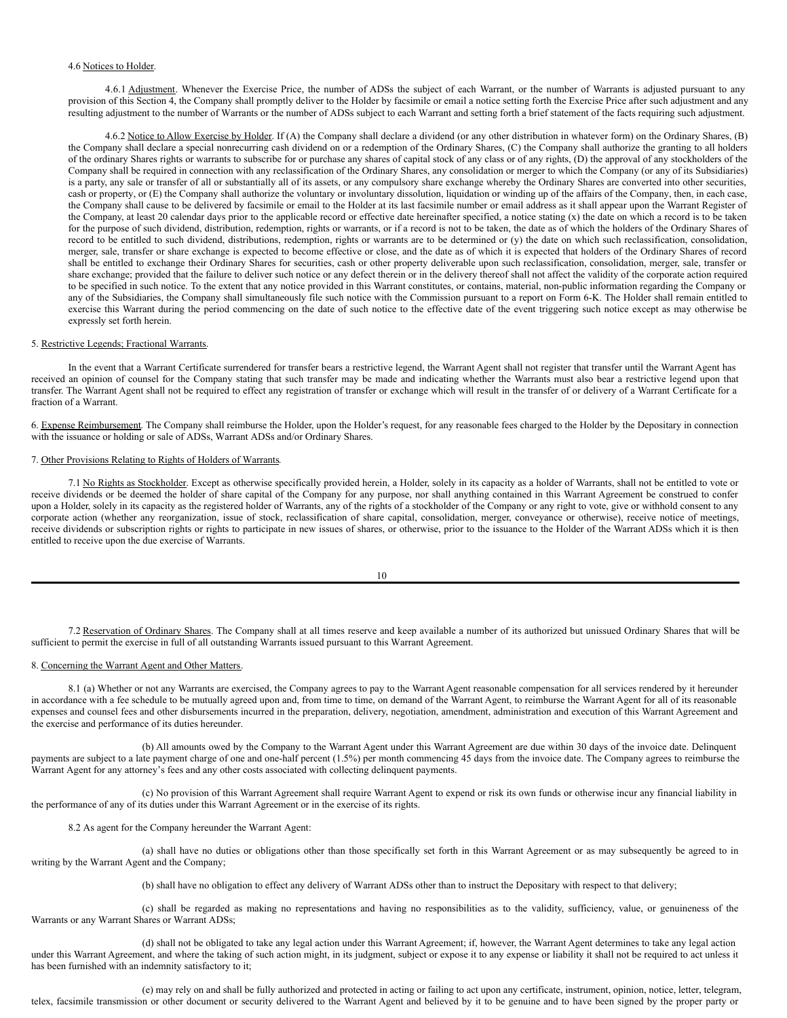#### 4.6 Notices to Holder.

4.6.1 Adjustment. Whenever the Exercise Price, the number of ADSs the subject of each Warrant, or the number of Warrants is adjusted pursuant to any provision of this Section 4, the Company shall promptly deliver to the Holder by facsimile or email a notice setting forth the Exercise Price after such adjustment and any resulting adjustment to the number of Warrants or the number of ADSs subject to each Warrant and setting forth a brief statement of the facts requiring such adjustment.

4.6.2 Notice to Allow Exercise by Holder. If (A) the Company shall declare a dividend (or any other distribution in whatever form) on the Ordinary Shares, (B) the Company shall declare a special nonrecurring cash dividend on or a redemption of the Ordinary Shares, (C) the Company shall authorize the granting to all holders of the ordinary Shares rights or warrants to subscribe for or purchase any shares of capital stock of any class or of any rights, (D) the approval of any stockholders of the Company shall be required in connection with any reclassification of the Ordinary Shares, any consolidation or merger to which the Company (or any of its Subsidiaries) is a party, any sale or transfer of all or substantially all of its assets, or any compulsory share exchange whereby the Ordinary Shares are converted into other securities, cash or property, or (E) the Company shall authorize the voluntary or involuntary dissolution, liquidation or winding up of the affairs of the Company, then, in each case, the Company shall cause to be delivered by facsimile or email to the Holder at its last facsimile number or email address as it shall appear upon the Warrant Register of the Company, at least 20 calendar days prior to the applicable record or effective date hereinafter specified, a notice stating (x) the date on which a record is to be taken for the purpose of such dividend, distribution, redemption, rights or warrants, or if a record is not to be taken, the date as of which the holders of the Ordinary Shares of record to be entitled to such dividend, distributions, redemption, rights or warrants are to be determined or (y) the date on which such reclassification, consolidation, merger, sale, transfer or share exchange is expected to become effective or close, and the date as of which it is expected that holders of the Ordinary Shares of record shall be entitled to exchange their Ordinary Shares for securities, cash or other property deliverable upon such reclassification, consolidation, merger, sale, transfer or share exchange; provided that the failure to deliver such notice or any defect therein or in the delivery thereof shall not affect the validity of the corporate action required to be specified in such notice. To the extent that any notice provided in this Warrant constitutes, or contains, material, non-public information regarding the Company or any of the Subsidiaries, the Company shall simultaneously file such notice with the Commission pursuant to a report on Form 6-K. The Holder shall remain entitled to exercise this Warrant during the period commencing on the date of such notice to the effective date of the event triggering such notice except as may otherwise be expressly set forth herein.

#### 5. Restrictive Legends; Fractional Warrants.

In the event that a Warrant Certificate surrendered for transfer bears a restrictive legend, the Warrant Agent shall not register that transfer until the Warrant Agent has received an opinion of counsel for the Company stating that such transfer may be made and indicating whether the Warrants must also bear a restrictive legend upon that transfer. The Warrant Agent shall not be required to effect any registration of transfer or exchange which will result in the transfer of or delivery of a Warrant Certificate for a fraction of a Warrant.

6. Expense Reimbursement. The Company shall reimburse the Holder, upon the Holder's request, for any reasonable fees charged to the Holder by the Depositary in connection with the issuance or holding or sale of ADSs, Warrant ADSs and/or Ordinary Shares.

# 7. Other Provisions Relating to Rights of Holders of Warrants.

7.1 No Rights as Stockholder. Except as otherwise specifically provided herein, a Holder, solely in its capacity as a holder of Warrants, shall not be entitled to vote or receive dividends or be deemed the holder of share capital of the Company for any purpose, nor shall anything contained in this Warrant Agreement be construed to confer upon a Holder, solely in its capacity as the registered holder of Warrants, any of the rights of a stockholder of the Company or any right to vote, give or withhold consent to any corporate action (whether any reorganization, issue of stock, reclassification of share capital, consolidation, merger, conveyance or otherwise), receive notice of meetings, receive dividends or subscription rights or rights to participate in new issues of shares, or otherwise, prior to the issuance to the Holder of the Warrant ADSs which it is then entitled to receive upon the due exercise of Warrants.

| I       |  |
|---------|--|
| ۰.      |  |
| ×<br>۰. |  |

7.2 Reservation of Ordinary Shares. The Company shall at all times reserve and keep available a number of its authorized but unissued Ordinary Shares that will be sufficient to permit the exercise in full of all outstanding Warrants issued pursuant to this Warrant Agreement.

#### 8. Concerning the Warrant Agent and Other Matters.

8.1 (a) Whether or not any Warrants are exercised, the Company agrees to pay to the Warrant Agent reasonable compensation for all services rendered by it hereunder in accordance with a fee schedule to be mutually agreed upon and, from time to time, on demand of the Warrant Agent, to reimburse the Warrant Agent for all of its reasonable expenses and counsel fees and other disbursements incurred in the preparation, delivery, negotiation, amendment, administration and execution of this Warrant Agreement and the exercise and performance of its duties hereunder.

(b) All amounts owed by the Company to the Warrant Agent under this Warrant Agreement are due within 30 days of the invoice date. Delinquent payments are subject to a late payment charge of one and one-half percent (1.5%) per month commencing 45 days from the invoice date. The Company agrees to reimburse the Warrant Agent for any attorney's fees and any other costs associated with collecting delinquent payments.

(c) No provision of this Warrant Agreement shall require Warrant Agent to expend or risk its own funds or otherwise incur any financial liability in the performance of any of its duties under this Warrant Agreement or in the exercise of its rights.

8.2 As agent for the Company hereunder the Warrant Agent:

(a) shall have no duties or obligations other than those specifically set forth in this Warrant Agreement or as may subsequently be agreed to in writing by the Warrant Agent and the Company;

(b) shall have no obligation to effect any delivery of Warrant ADSs other than to instruct the Depositary with respect to that delivery;

(c) shall be regarded as making no representations and having no responsibilities as to the validity, sufficiency, value, or genuineness of the Warrants or any Warrant Shares or Warrant ADSs;

(d) shall not be obligated to take any legal action under this Warrant Agreement; if, however, the Warrant Agent determines to take any legal action under this Warrant Agreement, and where the taking of such action might, in its judgment, subject or expose it to any expense or liability it shall not be required to act unless it has been furnished with an indemnity satisfactory to it;

(e) may rely on and shall be fully authorized and protected in acting or failing to act upon any certificate, instrument, opinion, notice, letter, telegram, telex, facsimile transmission or other document or security delivered to the Warrant Agent and believed by it to be genuine and to have been signed by the proper party or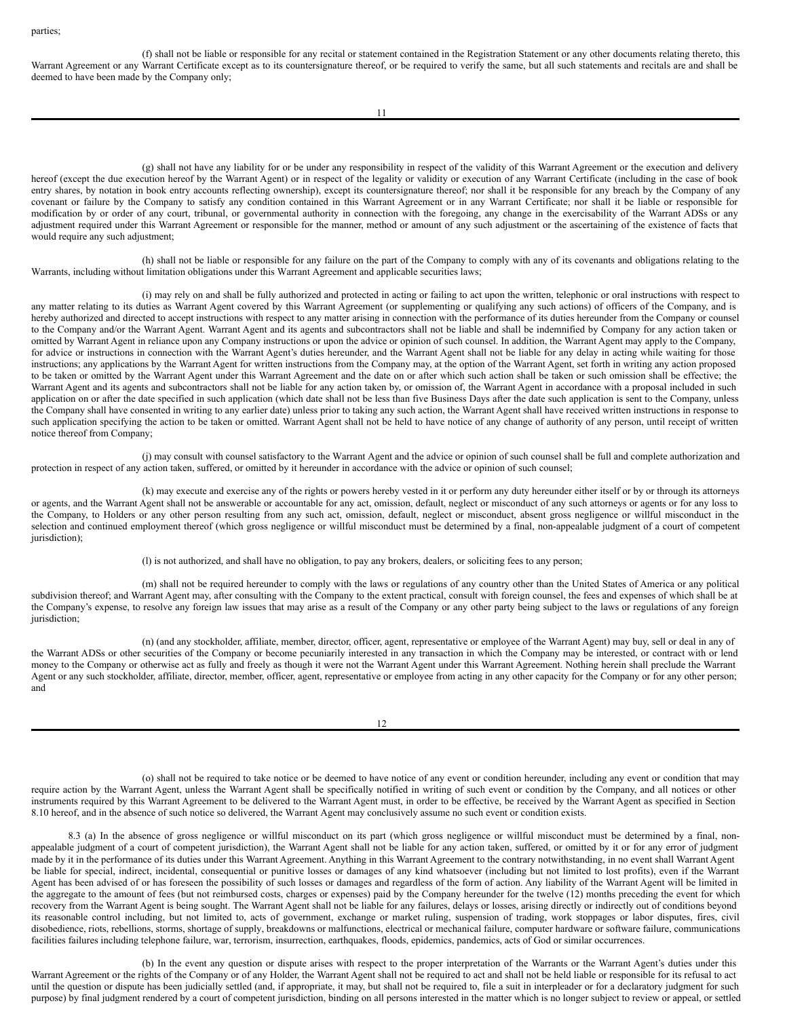<span id="page-8-0"></span>(f) shall not be liable or responsible for any recital or statement contained in the Registration Statement or any other documents relating thereto, this Warrant Agreement or any Warrant Certificate except as to its countersignature thereof, or be required to verify the same, but all such statements and recitals are and shall be deemed to have been made by the Company only;

(g) shall not have any liability for or be under any responsibility in respect of the validity of this Warrant Agreement or the execution and delivery hereof (except the due execution hereof by the Warrant Agent) or in respect of the legality or validity or execution of any Warrant Certificate (including in the case of book entry shares, by notation in book entry accounts reflecting ownership), except its countersignature thereof; nor shall it be responsible for any breach by the Company of any covenant or failure by the Company to satisfy any condition contained in this Warrant Agreement or in any Warrant Certificate; nor shall it be liable or responsible for modification by or order of any court, tribunal, or governmental authority in connection with the foregoing, any change in the exercisability of the Warrant ADSs or any adjustment required under this Warrant Agreement or responsible for the manner, method or amount of any such adjustment or the ascertaining of the existence of facts that would require any such adjustment;

(h) shall not be liable or responsible for any failure on the part of the Company to comply with any of its covenants and obligations relating to the Warrants, including without limitation obligations under this Warrant Agreement and applicable securities laws;

(i) may rely on and shall be fully authorized and protected in acting or failing to act upon the written, telephonic or oral instructions with respect to any matter relating to its duties as Warrant Agent covered by this Warrant Agreement (or supplementing or qualifying any such actions) of officers of the Company, and is hereby authorized and directed to accept instructions with respect to any matter arising in connection with the performance of its duties hereunder from the Company or counsel to the Company and/or the Warrant Agent. Warrant Agent and its agents and subcontractors shall not be liable and shall be indemnified by Company for any action taken or omitted by Warrant Agent in reliance upon any Company instructions or upon the advice or opinion of such counsel. In addition, the Warrant Agent may apply to the Company, for advice or instructions in connection with the Warrant Agent's duties hereunder, and the Warrant Agent shall not be liable for any delay in acting while waiting for those instructions; any applications by the Warrant Agent for written instructions from the Company may, at the option of the Warrant Agent, set forth in writing any action proposed to be taken or omitted by the Warrant Agent under this Warrant Agreement and the date on or after which such action shall be taken or such omission shall be effective; the Warrant Agent and its agents and subcontractors shall not be liable for any action taken by, or omission of, the Warrant Agent in accordance with a proposal included in such application on or after the date specified in such application (which date shall not be less than five Business Days after the date such application is sent to the Company, unless the Company shall have consented in writing to any earlier date) unless prior to taking any such action, the Warrant Agent shall have received written instructions in response to such application specifying the action to be taken or omitted. Warrant Agent shall not be held to have notice of any change of authority of any person, until receipt of written notice thereof from Company;

(j) may consult with counsel satisfactory to the Warrant Agent and the advice or opinion of such counsel shall be full and complete authorization and protection in respect of any action taken, suffered, or omitted by it hereunder in accordance with the advice or opinion of such counsel;

(k) may execute and exercise any of the rights or powers hereby vested in it or perform any duty hereunder either itself or by or through its attorneys or agents, and the Warrant Agent shall not be answerable or accountable for any act, omission, default, neglect or misconduct of any such attorneys or agents or for any loss to the Company, to Holders or any other person resulting from any such act, omission, default, neglect or misconduct, absent gross negligence or willful misconduct in the selection and continued employment thereof (which gross negligence or willful misconduct must be determined by a final, non-appealable judgment of a court of competent jurisdiction);

(l) is not authorized, and shall have no obligation, to pay any brokers, dealers, or soliciting fees to any person;

(m) shall not be required hereunder to comply with the laws or regulations of any country other than the United States of America or any political subdivision thereof; and Warrant Agent may, after consulting with the Company to the extent practical, consult with foreign counsel, the fees and expenses of which shall be at the Company's expense, to resolve any foreign law issues that may arise as a result of the Company or any other party being subject to the laws or regulations of any foreign jurisdiction;

(n) (and any stockholder, affiliate, member, director, officer, agent, representative or employee of the Warrant Agent) may buy, sell or deal in any of the Warrant ADSs or other securities of the Company or become pecuniarily interested in any transaction in which the Company may be interested, or contract with or lend money to the Company or otherwise act as fully and freely as though it were not the Warrant Agent under this Warrant Agreement. Nothing herein shall preclude the Warrant Agent or any such stockholder, affiliate, director, member, officer, agent, representative or employee from acting in any other capacity for the Company or for any other person; and

12

(o) shall not be required to take notice or be deemed to have notice of any event or condition hereunder, including any event or condition that may require action by the Warrant Agent, unless the Warrant Agent shall be specifically notified in writing of such event or condition by the Company, and all notices or other instruments required by this Warrant Agreement to be delivered to the Warrant Agent must, in order to be effective, be received by the Warrant Agent as specified in Section 8.10 hereof, and in the absence of such notice so delivered, the Warrant Agent may conclusively assume no such event or condition exists.

8.3 (a) In the absence of gross negligence or willful misconduct on its part (which gross negligence or willful misconduct must be determined by a final, nonappealable judgment of a court of competent jurisdiction), the Warrant Agent shall not be liable for any action taken, suffered, or omitted by it or for any error of judgment made by it in the performance of its duties under this Warrant Agreement. Anything in this Warrant Agreement to the contrary notwithstanding, in no event shall Warrant Agent be liable for special, indirect, incidental, consequential or punitive losses or damages of any kind whatsoever (including but not limited to lost profits), even if the Warrant Agent has been advised of or has foreseen the possibility of such losses or damages and regardless of the form of action. Any liability of the Warrant Agent will be limited in the aggregate to the amount of fees (but not reimbursed costs, charges or expenses) paid by the Company hereunder for the twelve (12) months preceding the event for which recovery from the Warrant Agent is being sought. The Warrant Agent shall not be liable for any failures, delays or losses, arising directly or indirectly out of conditions beyond its reasonable control including, but not limited to, acts of government, exchange or market ruling, suspension of trading, work stoppages or labor disputes, fires, civil disobedience, riots, rebellions, storms, shortage of supply, breakdowns or malfunctions, electrical or mechanical failure, computer hardware or software failure, communications facilities failures including telephone failure, war, terrorism, insurrection, earthquakes, floods, epidemics, pandemics, acts of God or similar occurrences.

(b) In the event any question or dispute arises with respect to the proper interpretation of the Warrants or the Warrant Agent's duties under this Warrant Agreement or the rights of the Company or of any Holder, the Warrant Agent shall not be required to act and shall not be held liable or responsible for its refusal to act until the question or dispute has been judicially settled (and, if appropriate, it may, but shall not be required to, file a suit in interpleader or for a declaratory judgment for such purpose) by final judgment rendered by a court of competent jurisdiction, binding on all persons interested in the matter which is no longer subject to review or appeal, or settled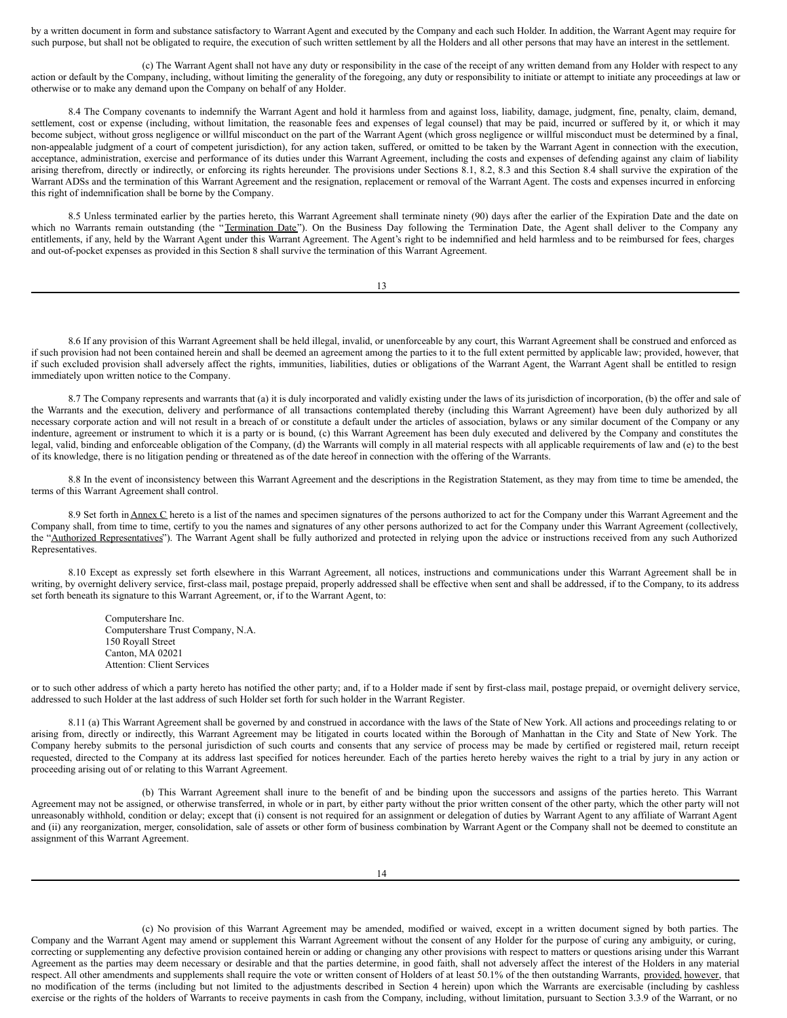by a written document in form and substance satisfactory to Warrant Agent and executed by the Company and each such Holder. In addition, the Warrant Agent may require for such purpose, but shall not be obligated to require, the execution of such written settlement by all the Holders and all other persons that may have an interest in the settlement.

(c) The Warrant Agent shall not have any duty or responsibility in the case of the receipt of any written demand from any Holder with respect to any action or default by the Company, including, without limiting the generality of the foregoing, any duty or responsibility to initiate or attempt to initiate any proceedings at law or otherwise or to make any demand upon the Company on behalf of any Holder.

8.4 The Company covenants to indemnify the Warrant Agent and hold it harmless from and against loss, liability, damage, judgment, fine, penalty, claim, demand, settlement, cost or expense (including, without limitation, the reasonable fees and expenses of legal counsel) that may be paid, incurred or suffered by it, or which it may become subject, without gross negligence or willful misconduct on the part of the Warrant Agent (which gross negligence or willful misconduct must be determined by a final, non-appealable judgment of a court of competent jurisdiction), for any action taken, suffered, or omitted to be taken by the Warrant Agent in connection with the execution, acceptance, administration, exercise and performance of its duties under this Warrant Agreement, including the costs and expenses of defending against any claim of liability arising therefrom, directly or indirectly, or enforcing its rights hereunder. The provisions under Sections 8.1, 8.2, 8.3 and this Section 8.4 shall survive the expiration of the Warrant ADSs and the termination of this Warrant Agreement and the resignation, replacement or removal of the Warrant Agent. The costs and expenses incurred in enforcing this right of indemnification shall be borne by the Company.

8.5 Unless terminated earlier by the parties hereto, this Warrant Agreement shall terminate ninety (90) days after the earlier of the Expiration Date and the date on which no Warrants remain outstanding (the "Termination Date"). On the Business Day following the Termination Date, the Agent shall deliver to the Company any entitlements, if any, held by the Warrant Agent under this Warrant Agreement. The Agent's right to be indemnified and held harmless and to be reimbursed for fees, charges and out-of-pocket expenses as provided in this Section 8 shall survive the termination of this Warrant Agreement.

13

8.6 If any provision of this Warrant Agreement shall be held illegal, invalid, or unenforceable by any court, this Warrant Agreement shall be construed and enforced as if such provision had not been contained herein and shall be deemed an agreement among the parties to it to the full extent permitted by applicable law; provided, however, that if such excluded provision shall adversely affect the rights, immunities, liabilities, duties or obligations of the Warrant Agent, the Warrant Agent shall be entitled to resign immediately upon written notice to the Company.

8.7 The Company represents and warrants that (a) it is duly incorporated and validly existing under the laws of its jurisdiction of incorporation, (b) the offer and sale of the Warrants and the execution, delivery and performance of all transactions contemplated thereby (including this Warrant Agreement) have been duly authorized by all necessary corporate action and will not result in a breach of or constitute a default under the articles of association, bylaws or any similar document of the Company or any indenture, agreement or instrument to which it is a party or is bound, (c) this Warrant Agreement has been duly executed and delivered by the Company and constitutes the legal, valid, binding and enforceable obligation of the Company, (d) the Warrants will comply in all material respects with all applicable requirements of law and (e) to the best of its knowledge, there is no litigation pending or threatened as of the date hereof in connection with the offering of the Warrants.

8.8 In the event of inconsistency between this Warrant Agreement and the descriptions in the Registration Statement, as they may from time to time be amended, the terms of this Warrant Agreement shall control.

8.9 Set forth in Annex C hereto is a list of the names and specimen signatures of the persons authorized to act for the Company under this Warrant Agreement and the Company shall, from time to time, certify to you the names and signatures of any other persons authorized to act for the Company under this Warrant Agreement (collectively, the "Authorized Representatives"). The Warrant Agent shall be fully authorized and protected in relying upon the advice or instructions received from any such Authorized Representatives.

8.10 Except as expressly set forth elsewhere in this Warrant Agreement, all notices, instructions and communications under this Warrant Agreement shall be in writing, by overnight delivery service, first-class mail, postage prepaid, properly addressed shall be effective when sent and shall be addressed, if to the Company, to its address set forth beneath its signature to this Warrant Agreement, or, if to the Warrant Agent, to:

> Computershare Inc. Computershare Trust Company, N.A. 150 Royall Street Canton, MA 02021 Attention: Client Services

or to such other address of which a party hereto has notified the other party; and, if to a Holder made if sent by first-class mail, postage prepaid, or overnight delivery service, addressed to such Holder at the last address of such Holder set forth for such holder in the Warrant Register.

8.11 (a) This Warrant Agreement shall be governed by and construed in accordance with the laws of the State of New York. All actions and proceedings relating to or arising from, directly or indirectly, this Warrant Agreement may be litigated in courts located within the Borough of Manhattan in the City and State of New York. The Company hereby submits to the personal jurisdiction of such courts and consents that any service of process may be made by certified or registered mail, return receipt requested, directed to the Company at its address last specified for notices hereunder. Each of the parties hereto hereby waives the right to a trial by jury in any action or proceeding arising out of or relating to this Warrant Agreement.

(b) This Warrant Agreement shall inure to the benefit of and be binding upon the successors and assigns of the parties hereto. This Warrant Agreement may not be assigned, or otherwise transferred, in whole or in part, by either party without the prior written consent of the other party, which the other party will not unreasonably withhold, condition or delay; except that (i) consent is not required for an assignment or delegation of duties by Warrant Agent to any affiliate of Warrant Agent and (ii) any reorganization, merger, consolidation, sale of assets or other form of business combination by Warrant Agent or the Company shall not be deemed to constitute an assignment of this Warrant Agreement.

(c) No provision of this Warrant Agreement may be amended, modified or waived, except in a written document signed by both parties. The Company and the Warrant Agent may amend or supplement this Warrant Agreement without the consent of any Holder for the purpose of curing any ambiguity, or curing, correcting or supplementing any defective provision contained herein or adding or changing any other provisions with respect to matters or questions arising under this Warrant Agreement as the parties may deem necessary or desirable and that the parties determine, in good faith, shall not adversely affect the interest of the Holders in any material respect. All other amendments and supplements shall require the vote or written consent of Holders of at least 50.1% of the then outstanding Warrants, provided, however, that no modification of the terms (including but not limited to the adjustments described in Section 4 herein) upon which the Warrants are exercisable (including by cashless exercise or the rights of the holders of Warrants to receive payments in cash from the Company, including, without limitation, pursuant to Section 3.3.9 of the Warrant, or no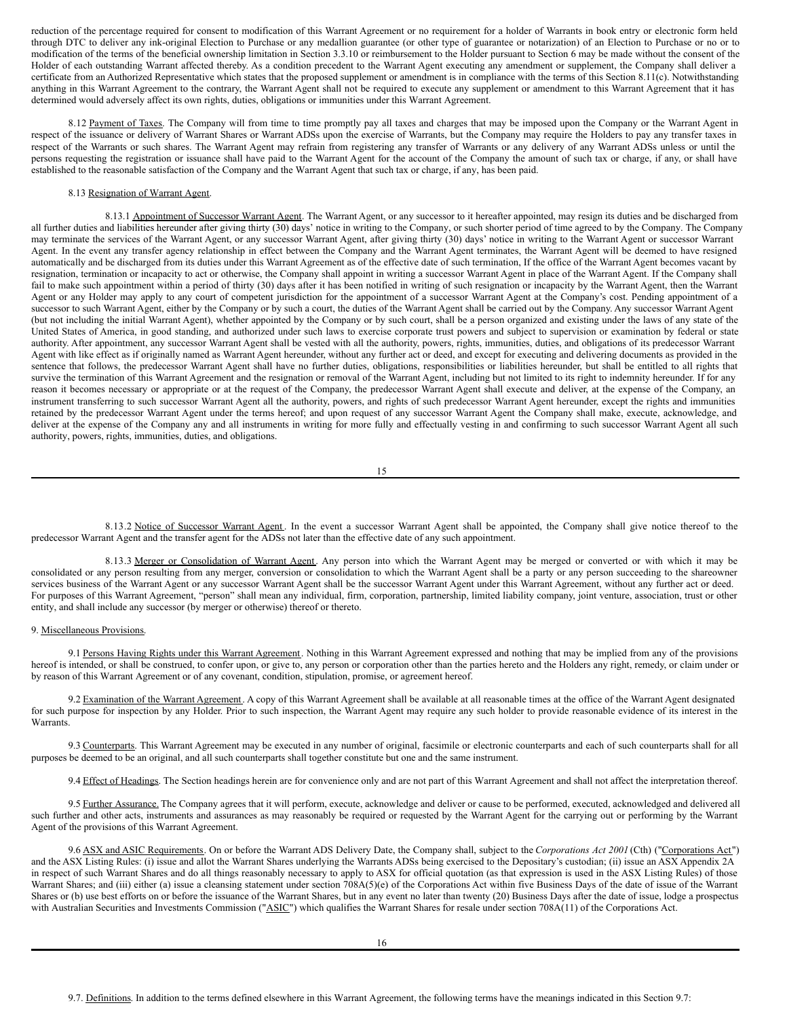reduction of the percentage required for consent to modification of this Warrant Agreement or no requirement for a holder of Warrants in book entry or electronic form held through DTC to deliver any ink-original Election to Purchase or any medallion guarantee (or other type of guarantee or notarization) of an Election to Purchase or no or to modification of the terms of the beneficial ownership limitation in Section 3.3.10 or reimbursement to the Holder pursuant to Section 6 may be made without the consent of the Holder of each outstanding Warrant affected thereby. As a condition precedent to the Warrant Agent executing any amendment or supplement, the Company shall deliver a certificate from an Authorized Representative which states that the proposed supplement or amendment is in compliance with the terms of this Section 8.11(c). Notwithstanding anything in this Warrant Agreement to the contrary, the Warrant Agent shall not be required to execute any supplement or amendment to this Warrant Agreement that it has determined would adversely affect its own rights, duties, obligations or immunities under this Warrant Agreement.

8.12 Payment of Taxes. The Company will from time to time promptly pay all taxes and charges that may be imposed upon the Company or the Warrant Agent in respect of the issuance or delivery of Warrant Shares or Warrant ADSs upon the exercise of Warrants, but the Company may require the Holders to pay any transfer taxes in respect of the Warrants or such shares. The Warrant Agent may refrain from registering any transfer of Warrants or any delivery of any Warrant ADSs unless or until the persons requesting the registration or issuance shall have paid to the Warrant Agent for the account of the Company the amount of such tax or charge, if any, or shall have established to the reasonable satisfaction of the Company and the Warrant Agent that such tax or charge, if any, has been paid.

#### 8.13 Resignation of Warrant Agent.

8.13.1 Appointment of Successor Warrant Agent. The Warrant Agent, or any successor to it hereafter appointed, may resign its duties and be discharged from all further duties and liabilities hereunder after giving thirty (30) days' notice in writing to the Company, or such shorter period of time agreed to by the Company. The Company may terminate the services of the Warrant Agent, or any successor Warrant Agent, after giving thirty (30) days' notice in writing to the Warrant Agent or successor Warrant Agent. In the event any transfer agency relationship in effect between the Company and the Warrant Agent terminates, the Warrant Agent will be deemed to have resigned automatically and be discharged from its duties under this Warrant Agreement as of the effective date of such termination, If the office of the Warrant Agent becomes vacant by resignation, termination or incapacity to act or otherwise, the Company shall appoint in writing a successor Warrant Agent in place of the Warrant Agent. If the Company shall fail to make such appointment within a period of thirty (30) days after it has been notified in writing of such resignation or incapacity by the Warrant Agent, then the Warrant Agent or any Holder may apply to any court of competent jurisdiction for the appointment of a successor Warrant Agent at the Company's cost. Pending appointment of a successor to such Warrant Agent, either by the Company or by such a court, the duties of the Warrant Agent shall be carried out by the Company. Any successor Warrant Agent (but not including the initial Warrant Agent), whether appointed by the Company or by such court, shall be a person organized and existing under the laws of any state of the United States of America, in good standing, and authorized under such laws to exercise corporate trust powers and subject to supervision or examination by federal or state authority. After appointment, any successor Warrant Agent shall be vested with all the authority, powers, rights, immunities, duties, and obligations of its predecessor Warrant Agent with like effect as if originally named as Warrant Agent hereunder, without any further act or deed, and except for executing and delivering documents as provided in the sentence that follows, the predecessor Warrant Agent shall have no further duties, obligations, responsibilities or liabilities hereunder, but shall be entitled to all rights that survive the termination of this Warrant Agreement and the resignation or removal of the Warrant Agent, including but not limited to its right to indemnity hereunder. If for any reason it becomes necessary or appropriate or at the request of the Company, the predecessor Warrant Agent shall execute and deliver, at the expense of the Company, an instrument transferring to such successor Warrant Agent all the authority, powers, and rights of such predecessor Warrant Agent hereunder, except the rights and immunities retained by the predecessor Warrant Agent under the terms hereof; and upon request of any successor Warrant Agent the Company shall make, execute, acknowledge, and deliver at the expense of the Company any and all instruments in writing for more fully and effectually vesting in and confirming to such successor Warrant Agent all such authority, powers, rights, immunities, duties, and obligations.

8.13.2 Notice of Successor Warrant Agent . In the event a successor Warrant Agent shall be appointed, the Company shall give notice thereof to the predecessor Warrant Agent and the transfer agent for the ADSs not later than the effective date of any such appointment.

8.13.3 Merger or Consolidation of Warrant Agent. Any person into which the Warrant Agent may be merged or converted or with which it may be consolidated or any person resulting from any merger, conversion or consolidation to which the Warrant Agent shall be a party or any person succeeding to the shareowner services business of the Warrant Agent or any successor Warrant Agent shall be the successor Warrant Agent under this Warrant Agreement, without any further act or deed. For purposes of this Warrant Agreement, "person" shall mean any individual, firm, corporation, partnership, limited liability company, joint venture, association, trust or other entity, and shall include any successor (by merger or otherwise) thereof or thereto.

#### 9. Miscellaneous Provisions.

9.1 Persons Having Rights under this Warrant Agreement. Nothing in this Warrant Agreement expressed and nothing that may be implied from any of the provisions hereof is intended, or shall be construed, to confer upon, or give to, any person or corporation other than the parties hereto and the Holders any right, remedy, or claim under or by reason of this Warrant Agreement or of any covenant, condition, stipulation, promise, or agreement hereof.

9.2 Examination of the Warrant Agreement. A copy of this Warrant Agreement shall be available at all reasonable times at the office of the Warrant Agent designated for such purpose for inspection by any Holder. Prior to such inspection, the Warrant Agent may require any such holder to provide reasonable evidence of its interest in the Warrants.

9.3 Counterparts. This Warrant Agreement may be executed in any number of original, facsimile or electronic counterparts and each of such counterparts shall for all purposes be deemed to be an original, and all such counterparts shall together constitute but one and the same instrument.

9.4 Effect of Headings. The Section headings herein are for convenience only and are not part of this Warrant Agreement and shall not affect the interpretation thereof.

9.5 Further Assurance. The Company agrees that it will perform, execute, acknowledge and deliver or cause to be performed, executed, acknowledged and delivered all such further and other acts, instruments and assurances as may reasonably be required or requested by the Warrant Agent for the carrying out or performing by the Warrant Agent of the provisions of this Warrant Agreement.

9.6 ASX and ASIC Requirements. On or before the Warrant ADS Delivery Date, the Company shall, subject to the *Corporations Act 2001* (Cth) ("Corporations Act") and the ASX Listing Rules: (i) issue and allot the Warrant Shares underlying the Warrants ADSs being exercised to the Depositary's custodian; (ii) issue an ASX Appendix 2A in respect of such Warrant Shares and do all things reasonably necessary to apply to ASX for official quotation (as that expression is used in the ASX Listing Rules) of those Warrant Shares; and (iii) either (a) issue a cleansing statement under section 708A(5)(e) of the Corporations Act within five Business Days of the date of issue of the Warrant Shares or (b) use best efforts on or before the issuance of the Warrant Shares, but in any event no later than twenty (20) Business Days after the date of issue, lodge a prospectus with Australian Securities and Investments Commission ("ASIC") which qualifies the Warrant Shares for resale under section 708A(11) of the Corporations Act.

<sup>15</sup>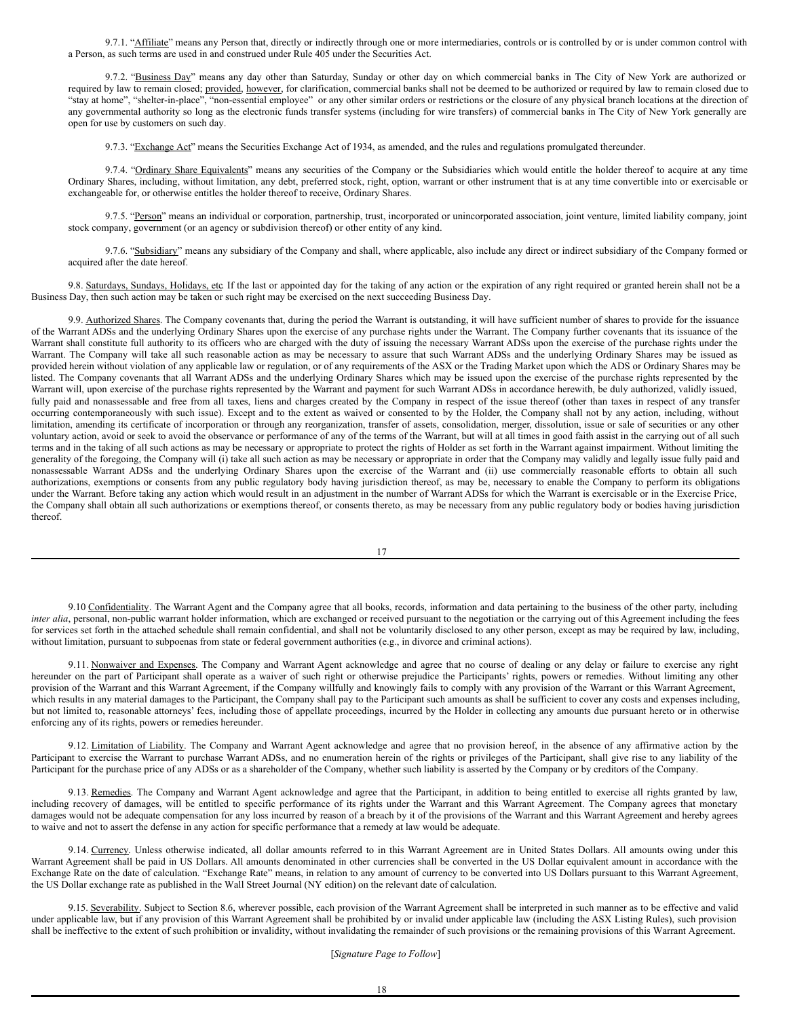9.7.1. "Affiliate" means any Person that, directly or indirectly through one or more intermediaries, controls or is controlled by or is under common control with a Person, as such terms are used in and construed under Rule 405 under the Securities Act.

9.7.2. "Business Day" means any day other than Saturday, Sunday or other day on which commercial banks in The City of New York are authorized or required by law to remain closed; provided, however, for clarification, commercial banks shall not be deemed to be authorized or required by law to remain closed due to "stay at home", "shelter-in-place", "non-essential employee" or any other similar orders or restrictions or the closure of any physical branch locations at the direction of any governmental authority so long as the electronic funds transfer systems (including for wire transfers) of commercial banks in The City of New York generally are open for use by customers on such day.

9.7.3. "Exchange Act" means the Securities Exchange Act of 1934, as amended, and the rules and regulations promulgated thereunder.

9.7.4. "Ordinary Share Equivalents" means any securities of the Company or the Subsidiaries which would entitle the holder thereof to acquire at any time Ordinary Shares, including, without limitation, any debt, preferred stock, right, option, warrant or other instrument that is at any time convertible into or exercisable or exchangeable for, or otherwise entitles the holder thereof to receive, Ordinary Shares.

9.7.5. "Person" means an individual or corporation, partnership, trust, incorporated or unincorporated association, joint venture, limited liability company, joint stock company, government (or an agency or subdivision thereof) or other entity of any kind.

9.7.6. "Subsidiary" means any subsidiary of the Company and shall, where applicable, also include any direct or indirect subsidiary of the Company formed or acquired after the date hereof.

9.8. Saturdays, Sundays, Holidays, etc. If the last or appointed day for the taking of any action or the expiration of any right required or granted herein shall not be a Business Day, then such action may be taken or such right may be exercised on the next succeeding Business Day.

9.9. Authorized Shares. The Company covenants that, during the period the Warrant is outstanding, it will have sufficient number of shares to provide for the issuance of the Warrant ADSs and the underlying Ordinary Shares upon the exercise of any purchase rights under the Warrant. The Company further covenants that its issuance of the Warrant shall constitute full authority to its officers who are charged with the duty of issuing the necessary Warrant ADSs upon the exercise of the purchase rights under the Warrant. The Company will take all such reasonable action as may be necessary to assure that such Warrant ADSs and the underlying Ordinary Shares may be issued as provided herein without violation of any applicable law or regulation, or of any requirements of the ASX or the Trading Market upon which the ADS or Ordinary Shares may be listed. The Company covenants that all Warrant ADSs and the underlying Ordinary Shares which may be issued upon the exercise of the purchase rights represented by the Warrant will, upon exercise of the purchase rights represented by the Warrant and payment for such Warrant ADSs in accordance herewith, be duly authorized, validly issued, fully paid and nonassessable and free from all taxes, liens and charges created by the Company in respect of the issue thereof (other than taxes in respect of any transfer occurring contemporaneously with such issue). Except and to the extent as waived or consented to by the Holder, the Company shall not by any action, including, without limitation, amending its certificate of incorporation or through any reorganization, transfer of assets, consolidation, merger, dissolution, issue or sale of securities or any other voluntary action, avoid or seek to avoid the observance or performance of any of the terms of the Warrant, but will at all times in good faith assist in the carrying out of all such terms and in the taking of all such actions as may be necessary or appropriate to protect the rights of Holder as set forth in the Warrant against impairment. Without limiting the generality of the foregoing, the Company will (i) take all such action as may be necessary or appropriate in order that the Company may validly and legally issue fully paid and nonassessable Warrant ADSs and the underlying Ordinary Shares upon the exercise of the Warrant and (ii) use commercially reasonable efforts to obtain all such authorizations, exemptions or consents from any public regulatory body having jurisdiction thereof, as may be, necessary to enable the Company to perform its obligations under the Warrant. Before taking any action which would result in an adjustment in the number of Warrant ADSs for which the Warrant is exercisable or in the Exercise Price, the Company shall obtain all such authorizations or exemptions thereof, or consents thereto, as may be necessary from any public regulatory body or bodies having jurisdiction thereof.

9.10 Confidentiality. The Warrant Agent and the Company agree that all books, records, information and data pertaining to the business of the other party, including *inter alia*, personal, non-public warrant holder information, which are exchanged or received pursuant to the negotiation or the carrying out of this Agreement including the fees for services set forth in the attached schedule shall remain confidential, and shall not be voluntarily disclosed to any other person, except as may be required by law, including, without limitation, pursuant to subpoenas from state or federal government authorities (e.g., in divorce and criminal actions).

9.11. Nonwaiver and Expenses. The Company and Warrant Agent acknowledge and agree that no course of dealing or any delay or failure to exercise any right hereunder on the part of Participant shall operate as a waiver of such right or otherwise prejudice the Participants' rights, powers or remedies. Without limiting any other provision of the Warrant and this Warrant Agreement, if the Company willfully and knowingly fails to comply with any provision of the Warrant or this Warrant Agreement, which results in any material damages to the Participant, the Company shall pay to the Participant such amounts as shall be sufficient to cover any costs and expenses including, but not limited to, reasonable attorneys' fees, including those of appellate proceedings, incurred by the Holder in collecting any amounts due pursuant hereto or in otherwise enforcing any of its rights, powers or remedies hereunder.

9.12. Limitation of Liability. The Company and Warrant Agent acknowledge and agree that no provision hereof, in the absence of any affirmative action by the Participant to exercise the Warrant to purchase Warrant ADSs, and no enumeration herein of the rights or privileges of the Participant, shall give rise to any liability of the Participant for the purchase price of any ADSs or as a shareholder of the Company, whether such liability is asserted by the Company or by creditors of the Company.

9.13. Remedies. The Company and Warrant Agent acknowledge and agree that the Participant, in addition to being entitled to exercise all rights granted by law, including recovery of damages, will be entitled to specific performance of its rights under the Warrant and this Warrant Agreement. The Company agrees that monetary damages would not be adequate compensation for any loss incurred by reason of a breach by it of the provisions of the Warrant and this Warrant Agreement and hereby agrees to waive and not to assert the defense in any action for specific performance that a remedy at law would be adequate.

9.14. Currency. Unless otherwise indicated, all dollar amounts referred to in this Warrant Agreement are in United States Dollars. All amounts owing under this Warrant Agreement shall be paid in US Dollars. All amounts denominated in other currencies shall be converted in the US Dollar equivalent amount in accordance with the Exchange Rate on the date of calculation. "Exchange Rate" means, in relation to any amount of currency to be converted into US Dollars pursuant to this Warrant Agreement, the US Dollar exchange rate as published in the Wall Street Journal (NY edition) on the relevant date of calculation.

9.15. Severability. Subject to Section 8.6, wherever possible, each provision of the Warrant Agreement shall be interpreted in such manner as to be effective and valid under applicable law, but if any provision of this Warrant Agreement shall be prohibited by or invalid under applicable law (including the ASX Listing Rules), such provision shall be ineffective to the extent of such prohibition or invalidity, without invalidating the remainder of such provisions or the remaining provisions of this Warrant Agreement.

[*Signature Page to Follow*]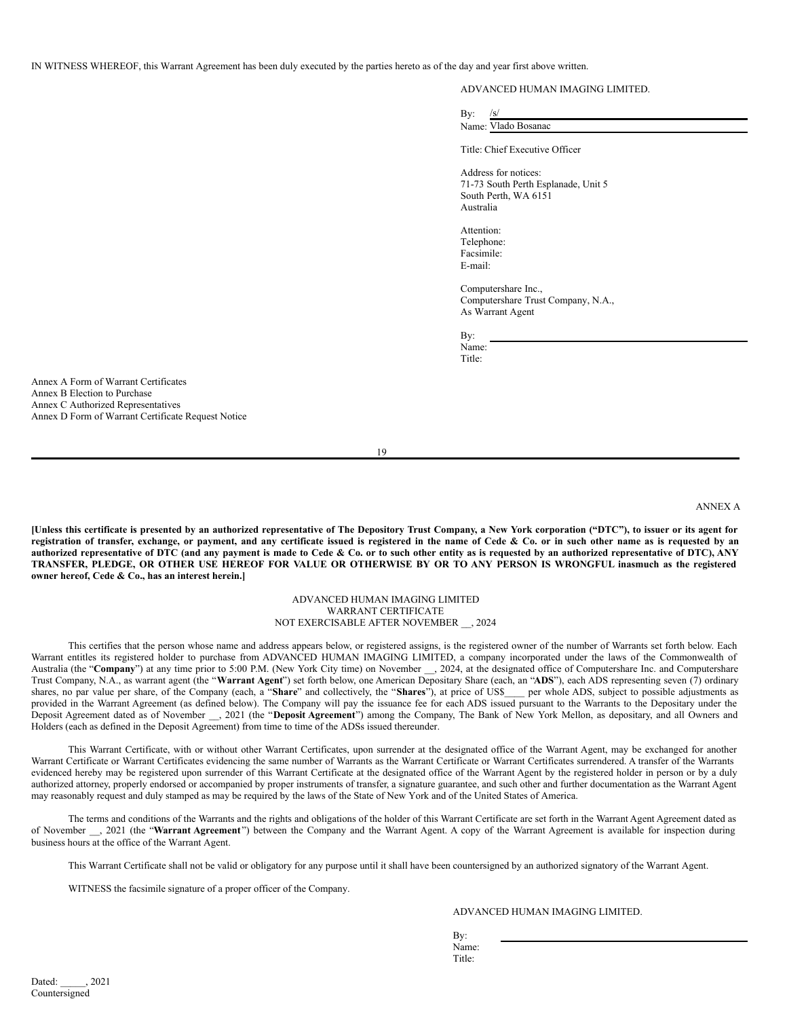IN WITNESS WHEREOF, this Warrant Agreement has been duly executed by the parties hereto as of the day and year first above written.

# ADVANCED HUMAN IMAGING LIMITED.

| By: |                     |
|-----|---------------------|
|     | Name: Vlado Bosanac |
|     |                     |

Title: Chief Executive Officer

Address for notices: 71-73 South Perth Esplanade, Unit 5 South Perth, WA 6151 Australia

Attention: Telephone: Facsimile: E-mail:

Computershare Inc., Computershare Trust Company, N.A., As Warrant Agent

By: Name:

Title:

Annex A Form of Warrant Certificates Annex B Election to Purchase Annex C Authorized Representatives Annex D Form of Warrant Certificate Request Notice

19

# ANNEX A

[Unless this certificate is presented by an authorized representative of The Depository Trust Company, a New York corporation ("DTC"), to issuer or its agent for registration of transfer, exchange, or payment, and any certificate issued is registered in the name of Cede & Co. or in such other name as is requested by an authorized representative of DTC (and any payment is made to Cede & Co. or to such other entity as is requested by an authorized representative of DTC), ANY TRANSFER, PLEDGE, OR OTHER USE HEREOF FOR VALUE OR OTHERWISE BY OR TO ANY PERSON IS WRONGFUL inasmuch as the registered **owner hereof, Cede & Co., has an interest herein.]**

## ADVANCED HUMAN IMAGING LIMITED WARRANT CERTIFICATE NOT EXERCISABLE AFTER NOVEMBER \_\_, 2024

This certifies that the person whose name and address appears below, or registered assigns, is the registered owner of the number of Warrants set forth below. Each Warrant entitles its registered holder to purchase from ADVANCED HUMAN IMAGING LIMITED, a company incorporated under the laws of the Commonwealth of Australia (the "Company") at any time prior to 5:00 P.M. (New York City time) on November \_\_, 2024, at the designated office of Computershare Inc. and Computershare Trust Company, N.A., as warrant agent (the "**Warrant Agent**") set forth below, one American Depositary Share (each, an "**ADS**"), each ADS representing seven (7) ordinary shares, no par value per share, of the Company (each, a "**Share**" and collectively, the "**Shares**"), at price of US\$\_\_\_\_ per whole ADS, subject to possible adjustments as provided in the Warrant Agreement (as defined below). The Company will pay the issuance fee for each ADS issued pursuant to the Warrants to the Depositary under the Deposit Agreement dated as of November \_\_, 2021 (the "**Deposit Agreement**") among the Company, The Bank of New York Mellon, as depositary, and all Owners and Holders (each as defined in the Deposit Agreement) from time to time of the ADSs issued thereunder.

This Warrant Certificate, with or without other Warrant Certificates, upon surrender at the designated office of the Warrant Agent, may be exchanged for another Warrant Certificate or Warrant Certificates evidencing the same number of Warrants as the Warrant Certificate or Warrant Certificates surrendered. A transfer of the Warrants evidenced hereby may be registered upon surrender of this Warrant Certificate at the designated office of the Warrant Agent by the registered holder in person or by a duly authorized attorney, properly endorsed or accompanied by proper instruments of transfer, a signature guarantee, and such other and further documentation as the Warrant Agent may reasonably request and duly stamped as may be required by the laws of the State of New York and of the United States of America.

The terms and conditions of the Warrants and the rights and obligations of the holder of this Warrant Certificate are set forth in the Warrant Agent Agreement dated as of November \_\_, 2021 (the "**Warrant Agreement**") between the Company and the Warrant Agent. A copy of the Warrant Agreement is available for inspection during business hours at the office of the Warrant Agent.

This Warrant Certificate shall not be valid or obligatory for any purpose until it shall have been countersigned by an authorized signatory of the Warrant Agent.

WITNESS the facsimile signature of a proper officer of the Company.

# ADVANCED HUMAN IMAGING LIMITED.

By: Name: Title: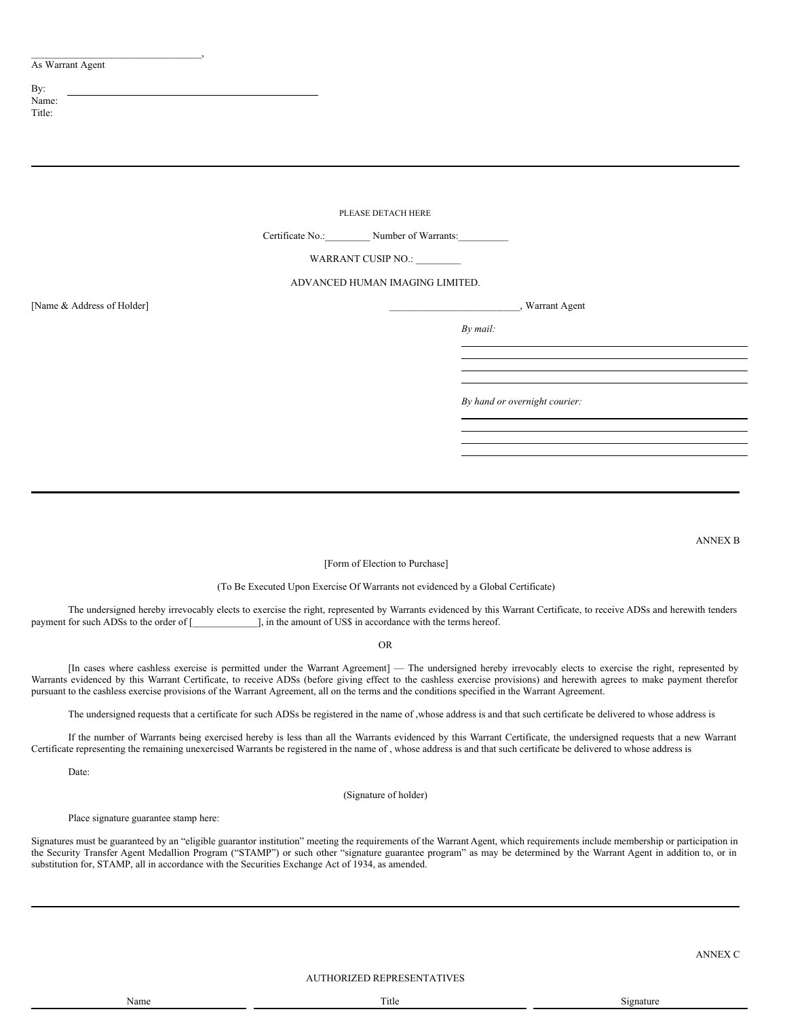# As Warrant Agent

 $\overline{\phantom{a}}$ 

| By:    |
|--------|
| Name:  |
| Title: |

|                            | PLEASE DETACH HERE                                                                |  |
|----------------------------|-----------------------------------------------------------------------------------|--|
|                            | Certificate No.:___________ Number of Warrants:__________________________________ |  |
|                            | WARRANT CUSIP NO.:                                                                |  |
|                            | ADVANCED HUMAN IMAGING LIMITED.                                                   |  |
| [Name & Address of Holder] | _, Warrant Agent                                                                  |  |
|                            | By mail:                                                                          |  |
|                            |                                                                                   |  |
|                            |                                                                                   |  |
|                            | By hand or overnight courier:                                                     |  |
|                            |                                                                                   |  |
|                            |                                                                                   |  |
|                            |                                                                                   |  |
|                            |                                                                                   |  |

ANNEX B

[Form of Election to Purchase]

(To Be Executed Upon Exercise Of Warrants not evidenced by a Global Certificate)

The undersigned hereby irrevocably elects to exercise the right, represented by Warrants evidenced by this Warrant Certificate, to receive ADSs and herewith tenders payment for such ADSs to the order of [\_\_\_\_\_\_\_\_\_\_\_\_\_], in the amount of US\$ in accordance with the terms hereof.

OR

[In cases where cashless exercise is permitted under the Warrant Agreement] — The undersigned hereby irrevocably elects to exercise the right, represented by Warrants evidenced by this Warrant Certificate, to receive ADSs (before giving effect to the cashless exercise provisions) and herewith agrees to make payment therefor pursuant to the cashless exercise provisions of the Warrant Agreement, all on the terms and the conditions specified in the Warrant Agreement.

The undersigned requests that a certificate for such ADSs be registered in the name of ,whose address is and that such certificate be delivered to whose address is

If the number of Warrants being exercised hereby is less than all the Warrants evidenced by this Warrant Certificate, the undersigned requests that a new Warrant Certificate representing the remaining unexercised Warrants be registered in the name of , whose address is and that such certificate be delivered to whose address is

Date:

(Signature of holder)

Place signature guarantee stamp here:

Signatures must be guaranteed by an "eligible guarantor institution" meeting the requirements of the Warrant Agent, which requirements include membership or participation in the Security Transfer Agent Medallion Program ("STAMP") or such other "signature guarantee program" as may be determined by the Warrant Agent in addition to, or in substitution for, STAMP, all in accordance with the Securities Exchange Act of 1934, as amended.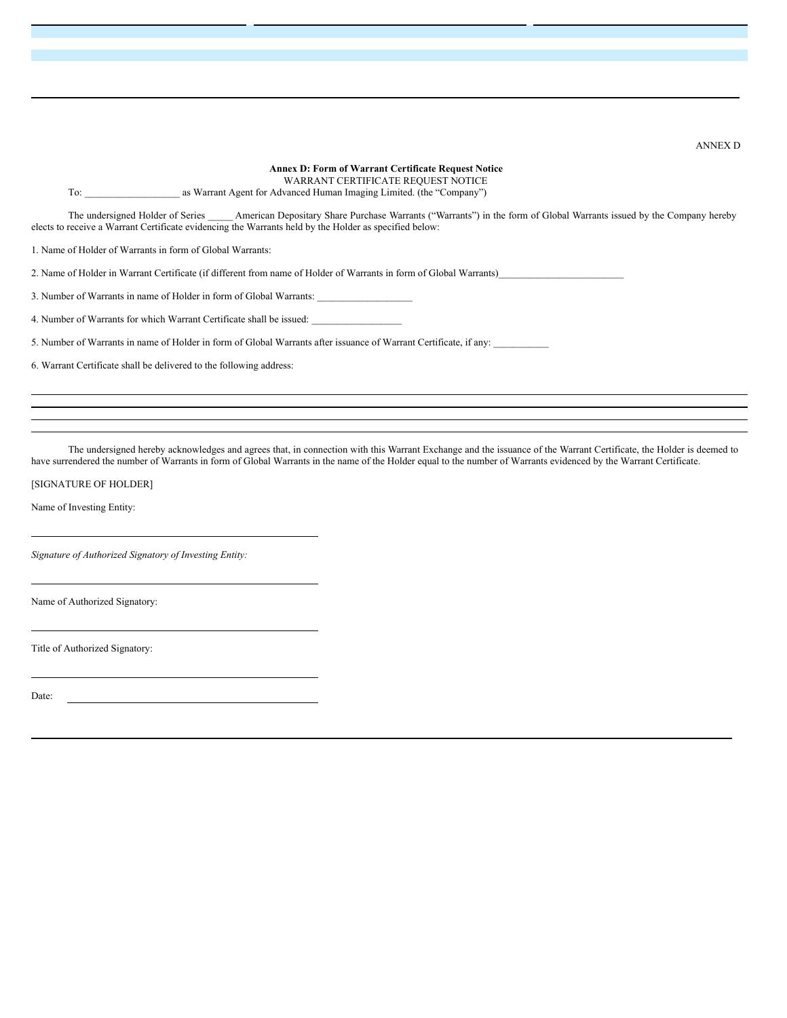WARRANT CERTIFICATE REQUEST NOTICE To: \_\_\_\_\_\_\_\_\_\_\_\_\_\_\_\_\_\_\_ as Warrant Agent for Advanced Human Imaging Limited. (the "Company") The undersigned Holder of Series \_\_\_\_\_ American Depositary Share Purchase Warrants ("Warrants") in the form of Global Warrants issued by the Company hereby elects to receive a Warrant Certificate evidencing the Warrants held by the Holder as specified below: 1. Name of Holder of Warrants in form of Global Warrants: 2. Name of Holder in Warrant Certificate (if different from name of Holder of Warrants in form of Global Warrants) 3. Number of Warrants in name of Holder in form of Global Warrants: 4. Number of Warrants for which Warrant Certificate shall be issued: 5. Number of Warrants in name of Holder in form of Global Warrants after issuance of Warrant Certificate, if any:

**Annex D: Form of Warrant Certificate Request Notice**

6. Warrant Certificate shall be delivered to the following address:

The undersigned hereby acknowledges and agrees that, in connection with this Warrant Exchange and the issuance of the Warrant Certificate, the Holder is deemed to have surrendered the number of Warrants in form of Global Warrants in the name of the Holder equal to the number of Warrants evidenced by the Warrant Certificate.

[SIGNATURE OF HOLDER]

Name of Investing Entity:

*Signature of Authorized Signatory of Investing Entity:*

Name of Authorized Signatory:

Title of Authorized Signatory:

Date:

ANNEX D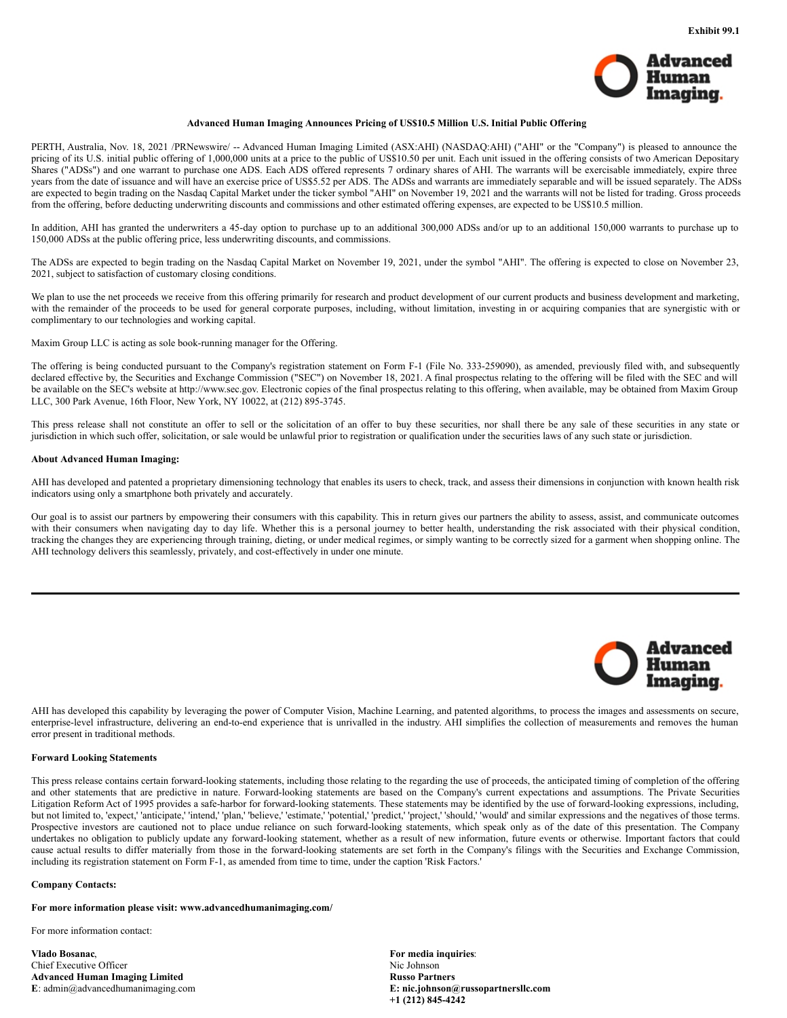

#### **Advanced Human Imaging Announces Pricing of US\$10.5 Million U.S. Initial Public Offering**

<span id="page-15-0"></span>PERTH, Australia, Nov. 18, 2021 /PRNewswire/ -- Advanced Human Imaging Limited (ASX:AHI) (NASDAQ:AHI) ("AHI" or the "Company") is pleased to announce the pricing of its U.S. initial public offering of 1,000,000 units at a price to the public of US\$10.50 per unit. Each unit issued in the offering consists of two American Depositary Shares ("ADSs") and one warrant to purchase one ADS. Each ADS offered represents 7 ordinary shares of AHI. The warrants will be exercisable immediately, expire three years from the date of issuance and will have an exercise price of US\$5.52 per ADS. The ADSs and warrants are immediately separable and will be issued separately. The ADSs are expected to begin trading on the Nasdaq Capital Market under the ticker symbol "AHI" on November 19, 2021 and the warrants will not be listed for trading. Gross proceeds from the offering, before deducting underwriting discounts and commissions and other estimated offering expenses, are expected to be US\$10.5 million.

In addition, AHI has granted the underwriters a 45-day option to purchase up to an additional 300,000 ADSs and/or up to an additional 150,000 warrants to purchase up to 150,000 ADSs at the public offering price, less underwriting discounts, and commissions.

The ADSs are expected to begin trading on the Nasdaq Capital Market on November 19, 2021, under the symbol "AHI". The offering is expected to close on November 23, 2021, subject to satisfaction of customary closing conditions.

We plan to use the net proceeds we receive from this offering primarily for research and product development of our current products and business development and marketing, with the remainder of the proceeds to be used for general corporate purposes, including, without limitation, investing in or acquiring companies that are synergistic with or complimentary to our technologies and working capital.

Maxim Group LLC is acting as sole book-running manager for the Offering.

The offering is being conducted pursuant to the Company's registration statement on Form F-1 (File No. 333-259090), as amended, previously filed with, and subsequently declared effective by, the Securities and Exchange Commission ("SEC") on November 18, 2021. A final prospectus relating to the offering will be filed with the SEC and will be available on the SEC's website at http://www.sec.gov. Electronic copies of the final prospectus relating to this offering, when available, may be obtained from Maxim Group LLC, 300 Park Avenue, 16th Floor, New York, NY 10022, at (212) 895-3745.

This press release shall not constitute an offer to sell or the solicitation of an offer to buy these securities, nor shall there be any sale of these securities in any state or jurisdiction in which such offer, solicitation, or sale would be unlawful prior to registration or qualification under the securities laws of any such state or jurisdiction.

#### **About Advanced Human Imaging:**

AHI has developed and patented a proprietary dimensioning technology that enables its users to check, track, and assess their dimensions in conjunction with known health risk indicators using only a smartphone both privately and accurately.

Our goal is to assist our partners by empowering their consumers with this capability. This in return gives our partners the ability to assess, assist, and communicate outcomes with their consumers when navigating day to day life. Whether this is a personal journey to better health, understanding the risk associated with their physical condition, tracking the changes they are experiencing through training, dieting, or under medical regimes, or simply wanting to be correctly sized for a garment when shopping online. The AHI technology delivers this seamlessly, privately, and cost-effectively in under one minute.



AHI has developed this capability by leveraging the power of Computer Vision, Machine Learning, and patented algorithms, to process the images and assessments on secure, enterprise-level infrastructure, delivering an end-to-end experience that is unrivalled in the industry. AHI simplifies the collection of measurements and removes the human error present in traditional methods.

## **Forward Looking Statements**

This press release contains certain forward-looking statements, including those relating to the regarding the use of proceeds, the anticipated timing of completion of the offering and other statements that are predictive in nature. Forward-looking statements are based on the Company's current expectations and assumptions. The Private Securities Litigation Reform Act of 1995 provides a safe-harbor for forward-looking statements. These statements may be identified by the use of forward-looking expressions, including, but not limited to, 'expect,' 'anticipate,' 'intend,' 'plan,' 'believe,' 'estimate,' 'potential,' 'predict,' 'project,' 'should,' 'would' and similar expressions and the negatives of those terms. Prospective investors are cautioned not to place undue reliance on such forward-looking statements, which speak only as of the date of this presentation. The Company undertakes no obligation to publicly update any forward-looking statement, whether as a result of new information, future events or otherwise. Important factors that could cause actual results to differ materially from those in the forward-looking statements are set forth in the Company's filings with the Securities and Exchange Commission, including its registration statement on Form F-1, as amended from time to time, under the caption 'Risk Factors.'

## **Company Contacts:**

**For more information please visit: www.advancedhumanimaging.com/**

For more information contact:

**Vlado Bosanac**, **For media inquiries**: Chief Executive Officer Nic Johnson Advanced Human Imaging Limited<br>
E: admin@advancedhumanimaging.com **Russo E: admin@advancedhumanimaging.com E**:  $\text{admin@advancedhumanimaging.com}$ 

**+1 (212) 845-4242**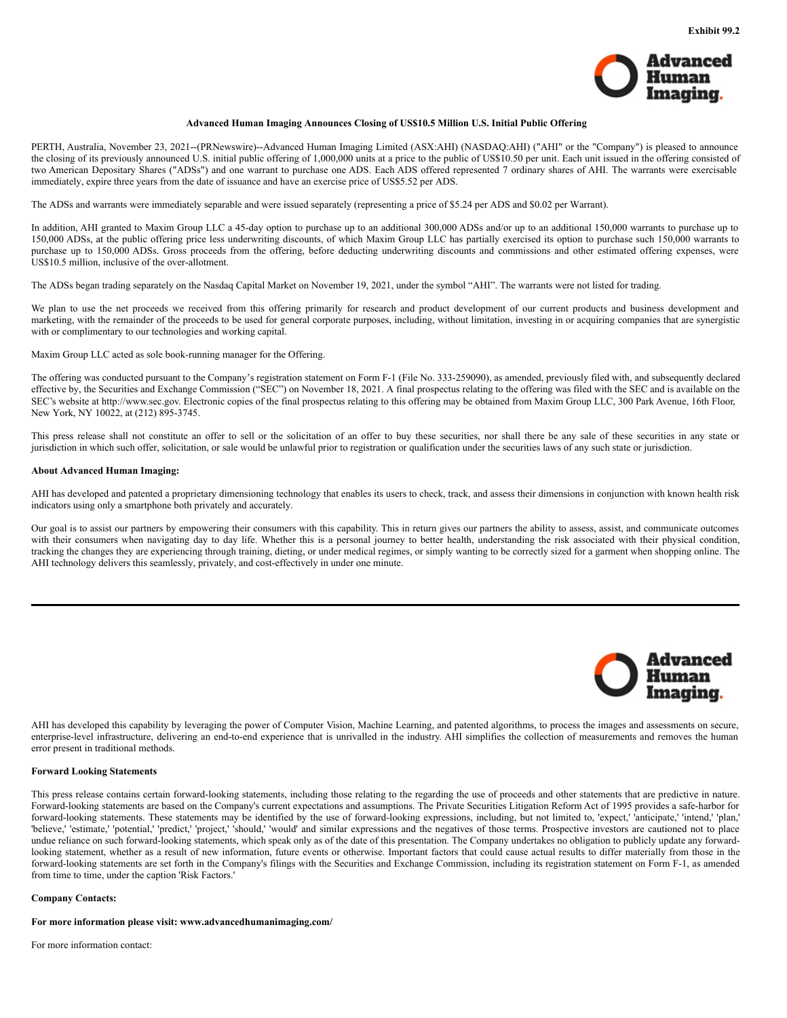

# **Advanced Human Imaging Announces Closing of US\$10.5 Million U.S. Initial Public Offering**

<span id="page-17-0"></span>PERTH, Australia, November 23, 2021--(PRNewswire)--Advanced Human Imaging Limited (ASX:AHI) (NASDAQ:AHI) ("AHI" or the "Company") is pleased to announce the closing of its previously announced U.S. initial public offering of 1,000,000 units at a price to the public of US\$10.50 per unit. Each unit issued in the offering consisted of two American Depositary Shares ("ADSs") and one warrant to purchase one ADS. Each ADS offered represented 7 ordinary shares of AHI. The warrants were exercisable immediately, expire three years from the date of issuance and have an exercise price of US\$5.52 per ADS.

The ADSs and warrants were immediately separable and were issued separately (representing a price of \$5.24 per ADS and \$0.02 per Warrant).

In addition, AHI granted to Maxim Group LLC a 45-day option to purchase up to an additional 300,000 ADSs and/or up to an additional 150,000 warrants to purchase up to 150,000 ADSs, at the public offering price less underwriting discounts, of which Maxim Group LLC has partially exercised its option to purchase such 150,000 warrants to purchase up to 150,000 ADSs. Gross proceeds from the offering, before deducting underwriting discounts and commissions and other estimated offering expenses, were US\$10.5 million, inclusive of the over-allotment.

The ADSs began trading separately on the Nasdaq Capital Market on November 19, 2021, under the symbol "AHI". The warrants were not listed for trading.

We plan to use the net proceeds we received from this offering primarily for research and product development of our current products and business development and marketing, with the remainder of the proceeds to be used for general corporate purposes, including, without limitation, investing in or acquiring companies that are synergistic with or complimentary to our technologies and working capital.

Maxim Group LLC acted as sole book-running manager for the Offering.

The offering was conducted pursuant to the Company's registration statement on Form F-1 (File No. 333-259090), as amended, previously filed with, and subsequently declared effective by, the Securities and Exchange Commission ("SEC") on November 18, 2021. A final prospectus relating to the offering was filed with the SEC and is available on the SEC's website at http://www.sec.gov. Electronic copies of the final prospectus relating to this offering may be obtained from Maxim Group LLC, 300 Park Avenue, 16th Floor, New York, NY 10022, at (212) 895-3745.

This press release shall not constitute an offer to sell or the solicitation of an offer to buy these securities, nor shall there be any sale of these securities in any state or jurisdiction in which such offer, solicitation, or sale would be unlawful prior to registration or qualification under the securities laws of any such state or jurisdiction.

# **About Advanced Human Imaging:**

AHI has developed and patented a proprietary dimensioning technology that enables its users to check, track, and assess their dimensions in conjunction with known health risk indicators using only a smartphone both privately and accurately.

Our goal is to assist our partners by empowering their consumers with this capability. This in return gives our partners the ability to assess, assist, and communicate outcomes with their consumers when navigating day to day life. Whether this is a personal journey to better health, understanding the risk associated with their physical condition, tracking the changes they are experiencing through training, dieting, or under medical regimes, or simply wanting to be correctly sized for a garment when shopping online. The AHI technology delivers this seamlessly, privately, and cost-effectively in under one minute.



AHI has developed this capability by leveraging the power of Computer Vision, Machine Learning, and patented algorithms, to process the images and assessments on secure, enterprise-level infrastructure, delivering an end-to-end experience that is unrivalled in the industry. AHI simplifies the collection of measurements and removes the human error present in traditional methods.

### **Forward Looking Statements**

This press release contains certain forward-looking statements, including those relating to the regarding the use of proceeds and other statements that are predictive in nature. Forward-looking statements are based on the Company's current expectations and assumptions. The Private Securities Litigation Reform Act of 1995 provides a safe-harbor for forward-looking statements. These statements may be identified by the use of forward-looking expressions, including, but not limited to, 'expect,' 'anticipate,' 'intend,' 'plan,' 'believe,' 'estimate,' 'potential,' 'predict,' 'project,' 'should,' 'would' and similar expressions and the negatives of those terms. Prospective investors are cautioned not to place undue reliance on such forward-looking statements, which speak only as of the date of this presentation. The Company undertakes no obligation to publicly update any forwardlooking statement, whether as a result of new information, future events or otherwise. Important factors that could cause actual results to differ materially from those in the forward-looking statements are set forth in the Company's filings with the Securities and Exchange Commission, including its registration statement on Form F-1, as amended from time to time, under the caption 'Risk Factors.'

#### **Company Contacts:**

**For more information please visit: www.advancedhumanimaging.com/**

For more information contact: